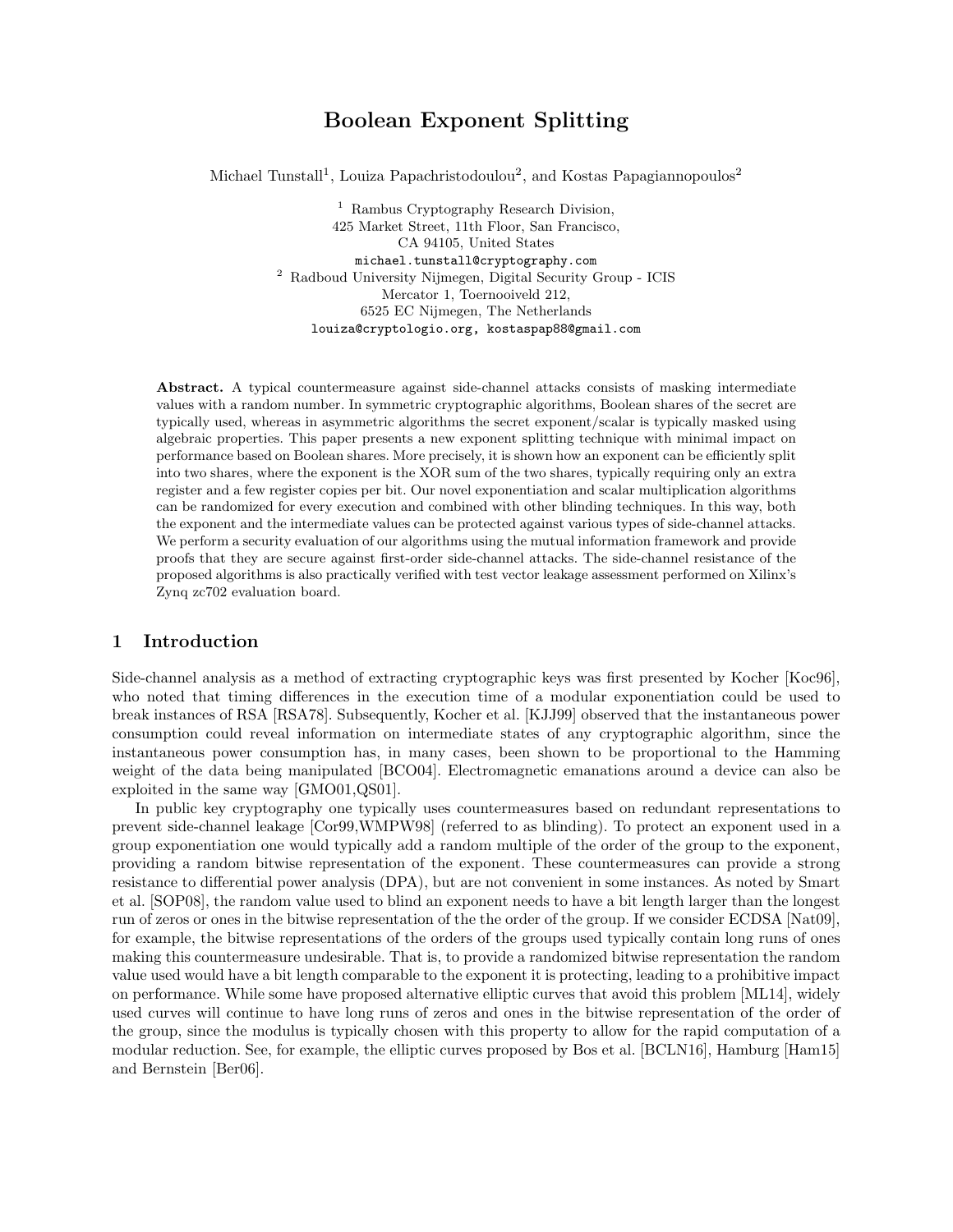# Boolean Exponent Splitting

Michael Tunstall<sup>1</sup>, Louiza Papachristodoulou<sup>2</sup>, and Kostas Papagiannopoulos<sup>2</sup>

<sup>1</sup> Rambus Cryptography Research Division, 425 Market Street, 11th Floor, San Francisco, CA 94105, United States michael.tunstall@cryptography.com  $^{\rm 2}$ Radboud University Nijmegen, Digital Security Group - ICIS Mercator 1, Toernooiveld 212, 6525 EC Nijmegen, The Netherlands louiza@cryptologio.org, kostaspap88@gmail.com

Abstract. A typical countermeasure against side-channel attacks consists of masking intermediate values with a random number. In symmetric cryptographic algorithms, Boolean shares of the secret are typically used, whereas in asymmetric algorithms the secret exponent/scalar is typically masked using algebraic properties. This paper presents a new exponent splitting technique with minimal impact on performance based on Boolean shares. More precisely, it is shown how an exponent can be efficiently split into two shares, where the exponent is the XOR sum of the two shares, typically requiring only an extra register and a few register copies per bit. Our novel exponentiation and scalar multiplication algorithms can be randomized for every execution and combined with other blinding techniques. In this way, both the exponent and the intermediate values can be protected against various types of side-channel attacks. We perform a security evaluation of our algorithms using the mutual information framework and provide proofs that they are secure against first-order side-channel attacks. The side-channel resistance of the proposed algorithms is also practically verified with test vector leakage assessment performed on Xilinx's Zynq zc702 evaluation board.

# 1 Introduction

Side-channel analysis as a method of extracting cryptographic keys was first presented by Kocher [Koc96], who noted that timing differences in the execution time of a modular exponentiation could be used to break instances of RSA [RSA78]. Subsequently, Kocher et al. [KJJ99] observed that the instantaneous power consumption could reveal information on intermediate states of any cryptographic algorithm, since the instantaneous power consumption has, in many cases, been shown to be proportional to the Hamming weight of the data being manipulated [BCO04]. Electromagnetic emanations around a device can also be exploited in the same way [GMO01,QS01].

In public key cryptography one typically uses countermeasures based on redundant representations to prevent side-channel leakage [Cor99,WMPW98] (referred to as blinding). To protect an exponent used in a group exponentiation one would typically add a random multiple of the order of the group to the exponent, providing a random bitwise representation of the exponent. These countermeasures can provide a strong resistance to differential power analysis (DPA), but are not convenient in some instances. As noted by Smart et al. [SOP08], the random value used to blind an exponent needs to have a bit length larger than the longest run of zeros or ones in the bitwise representation of the the order of the group. If we consider ECDSA [Nat09], for example, the bitwise representations of the orders of the groups used typically contain long runs of ones making this countermeasure undesirable. That is, to provide a randomized bitwise representation the random value used would have a bit length comparable to the exponent it is protecting, leading to a prohibitive impact on performance. While some have proposed alternative elliptic curves that avoid this problem [ML14], widely used curves will continue to have long runs of zeros and ones in the bitwise representation of the order of the group, since the modulus is typically chosen with this property to allow for the rapid computation of a modular reduction. See, for example, the elliptic curves proposed by Bos et al. [BCLN16], Hamburg [Ham15] and Bernstein [Ber06].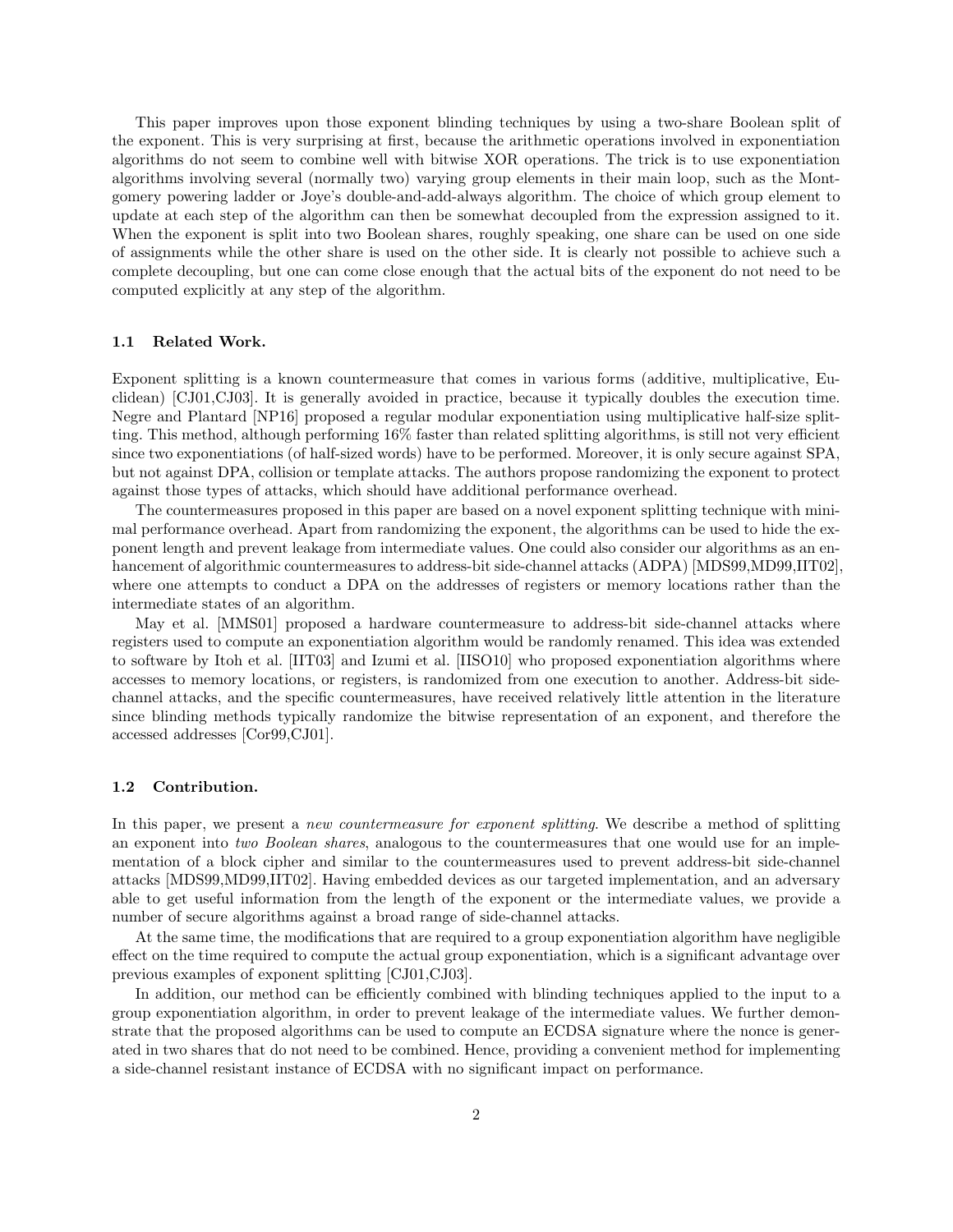This paper improves upon those exponent blinding techniques by using a two-share Boolean split of the exponent. This is very surprising at first, because the arithmetic operations involved in exponentiation algorithms do not seem to combine well with bitwise XOR operations. The trick is to use exponentiation algorithms involving several (normally two) varying group elements in their main loop, such as the Montgomery powering ladder or Joye's double-and-add-always algorithm. The choice of which group element to update at each step of the algorithm can then be somewhat decoupled from the expression assigned to it. When the exponent is split into two Boolean shares, roughly speaking, one share can be used on one side of assignments while the other share is used on the other side. It is clearly not possible to achieve such a complete decoupling, but one can come close enough that the actual bits of the exponent do not need to be computed explicitly at any step of the algorithm.

#### 1.1 Related Work.

Exponent splitting is a known countermeasure that comes in various forms (additive, multiplicative, Euclidean) [CJ01,CJ03]. It is generally avoided in practice, because it typically doubles the execution time. Negre and Plantard [NP16] proposed a regular modular exponentiation using multiplicative half-size splitting. This method, although performing  $16\%$  faster than related splitting algorithms, is still not very efficient since two exponentiations (of half-sized words) have to be performed. Moreover, it is only secure against SPA, but not against DPA, collision or template attacks. The authors propose randomizing the exponent to protect against those types of attacks, which should have additional performance overhead.

The countermeasures proposed in this paper are based on a novel exponent splitting technique with minimal performance overhead. Apart from randomizing the exponent, the algorithms can be used to hide the exponent length and prevent leakage from intermediate values. One could also consider our algorithms as an enhancement of algorithmic countermeasures to address-bit side-channel attacks (ADPA) [MDS99,MD99,IIT02], where one attempts to conduct a DPA on the addresses of registers or memory locations rather than the intermediate states of an algorithm.

May et al. [MMS01] proposed a hardware countermeasure to address-bit side-channel attacks where registers used to compute an exponentiation algorithm would be randomly renamed. This idea was extended to software by Itoh et al. [IIT03] and Izumi et al. [IISO10] who proposed exponentiation algorithms where accesses to memory locations, or registers, is randomized from one execution to another. Address-bit sidechannel attacks, and the specific countermeasures, have received relatively little attention in the literature since blinding methods typically randomize the bitwise representation of an exponent, and therefore the accessed addresses [Cor99,CJ01].

#### 1.2 Contribution.

In this paper, we present a *new countermeasure for exponent splitting*. We describe a method of splitting an exponent into two Boolean shares, analogous to the countermeasures that one would use for an implementation of a block cipher and similar to the countermeasures used to prevent address-bit side-channel attacks [MDS99,MD99,IIT02]. Having embedded devices as our targeted implementation, and an adversary able to get useful information from the length of the exponent or the intermediate values, we provide a number of secure algorithms against a broad range of side-channel attacks.

At the same time, the modifications that are required to a group exponentiation algorithm have negligible effect on the time required to compute the actual group exponentiation, which is a significant advantage over previous examples of exponent splitting [CJ01,CJ03].

In addition, our method can be efficiently combined with blinding techniques applied to the input to a group exponentiation algorithm, in order to prevent leakage of the intermediate values. We further demonstrate that the proposed algorithms can be used to compute an ECDSA signature where the nonce is generated in two shares that do not need to be combined. Hence, providing a convenient method for implementing a side-channel resistant instance of ECDSA with no significant impact on performance.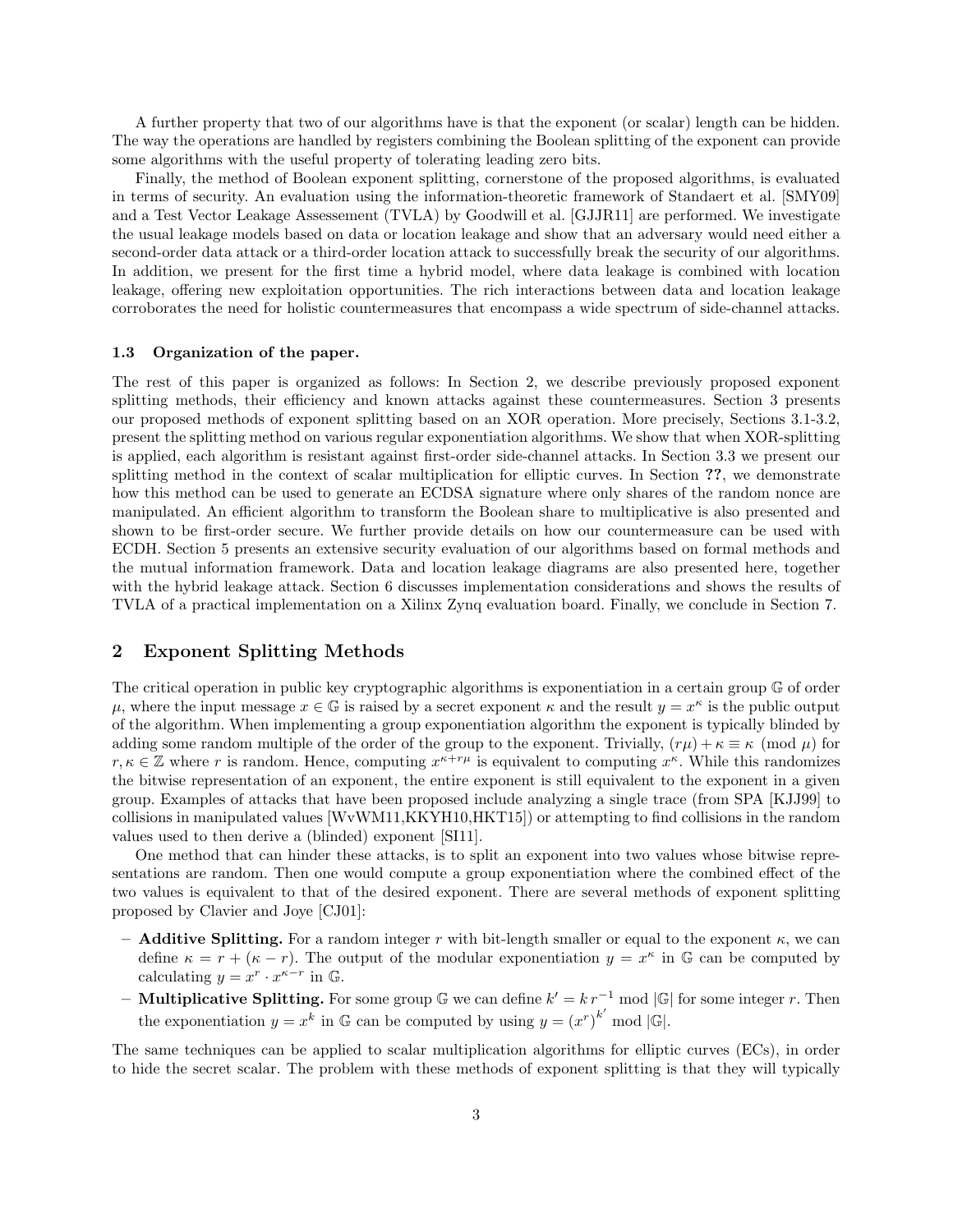A further property that two of our algorithms have is that the exponent (or scalar) length can be hidden. The way the operations are handled by registers combining the Boolean splitting of the exponent can provide some algorithms with the useful property of tolerating leading zero bits.

Finally, the method of Boolean exponent splitting, cornerstone of the proposed algorithms, is evaluated in terms of security. An evaluation using the information-theoretic framework of Standaert et al. [SMY09] and a Test Vector Leakage Assessement (TVLA) by Goodwill et al. [GJJR11] are performed. We investigate the usual leakage models based on data or location leakage and show that an adversary would need either a second-order data attack or a third-order location attack to successfully break the security of our algorithms. In addition, we present for the first time a hybrid model, where data leakage is combined with location leakage, offering new exploitation opportunities. The rich interactions between data and location leakage corroborates the need for holistic countermeasures that encompass a wide spectrum of side-channel attacks.

#### 1.3 Organization of the paper.

The rest of this paper is organized as follows: In Section 2, we describe previously proposed exponent splitting methods, their efficiency and known attacks against these countermeasures. Section 3 presents our proposed methods of exponent splitting based on an XOR operation. More precisely, Sections 3.1-3.2, present the splitting method on various regular exponentiation algorithms. We show that when XOR-splitting is applied, each algorithm is resistant against first-order side-channel attacks. In Section 3.3 we present our splitting method in the context of scalar multiplication for elliptic curves. In Section ??, we demonstrate how this method can be used to generate an ECDSA signature where only shares of the random nonce are manipulated. An efficient algorithm to transform the Boolean share to multiplicative is also presented and shown to be first-order secure. We further provide details on how our countermeasure can be used with ECDH. Section 5 presents an extensive security evaluation of our algorithms based on formal methods and the mutual information framework. Data and location leakage diagrams are also presented here, together with the hybrid leakage attack. Section 6 discusses implementation considerations and shows the results of TVLA of a practical implementation on a Xilinx Zynq evaluation board. Finally, we conclude in Section 7.

# 2 Exponent Splitting Methods

The critical operation in public key cryptographic algorithms is exponentiation in a certain group G of order  $\mu$ , where the input message  $x \in \mathbb{G}$  is raised by a secret exponent  $\kappa$  and the result  $y = x^{\kappa}$  is the public output of the algorithm. When implementing a group exponentiation algorithm the exponent is typically blinded by adding some random multiple of the order of the group to the exponent. Trivially,  $(r\mu) + \kappa \equiv \kappa \pmod{\mu}$  for  $r, \kappa \in \mathbb{Z}$  where r is random. Hence, computing  $x^{\kappa+r\mu}$  is equivalent to computing  $x^{\kappa}$ . While this randomizes the bitwise representation of an exponent, the entire exponent is still equivalent to the exponent in a given group. Examples of attacks that have been proposed include analyzing a single trace (from SPA [KJJ99] to collisions in manipulated values [WvWM11,KKYH10,HKT15]) or attempting to find collisions in the random values used to then derive a (blinded) exponent [SI11].

One method that can hinder these attacks, is to split an exponent into two values whose bitwise representations are random. Then one would compute a group exponentiation where the combined effect of the two values is equivalent to that of the desired exponent. There are several methods of exponent splitting proposed by Clavier and Joye [CJ01]:

- **Additive Splitting.** For a random integer r with bit-length smaller or equal to the exponent  $\kappa$ , we can define  $\kappa = r + (\kappa - r)$ . The output of the modular exponentiation  $y = x^{\kappa}$  in G can be computed by calculating  $y = x^r \cdot x^{\kappa - r}$  in  $\mathbb{G}$ .
- **Multiplicative Splitting.** For some group  $\mathbb{G}$  we can define  $k' = k r^{-1} \text{ mod } |\mathbb{G}|$  for some integer r. Then the exponentiation  $y = x^k$  in G can be computed by using  $y = (x^r)^{k'}$  mod |G|.

The same techniques can be applied to scalar multiplication algorithms for elliptic curves (ECs), in order to hide the secret scalar. The problem with these methods of exponent splitting is that they will typically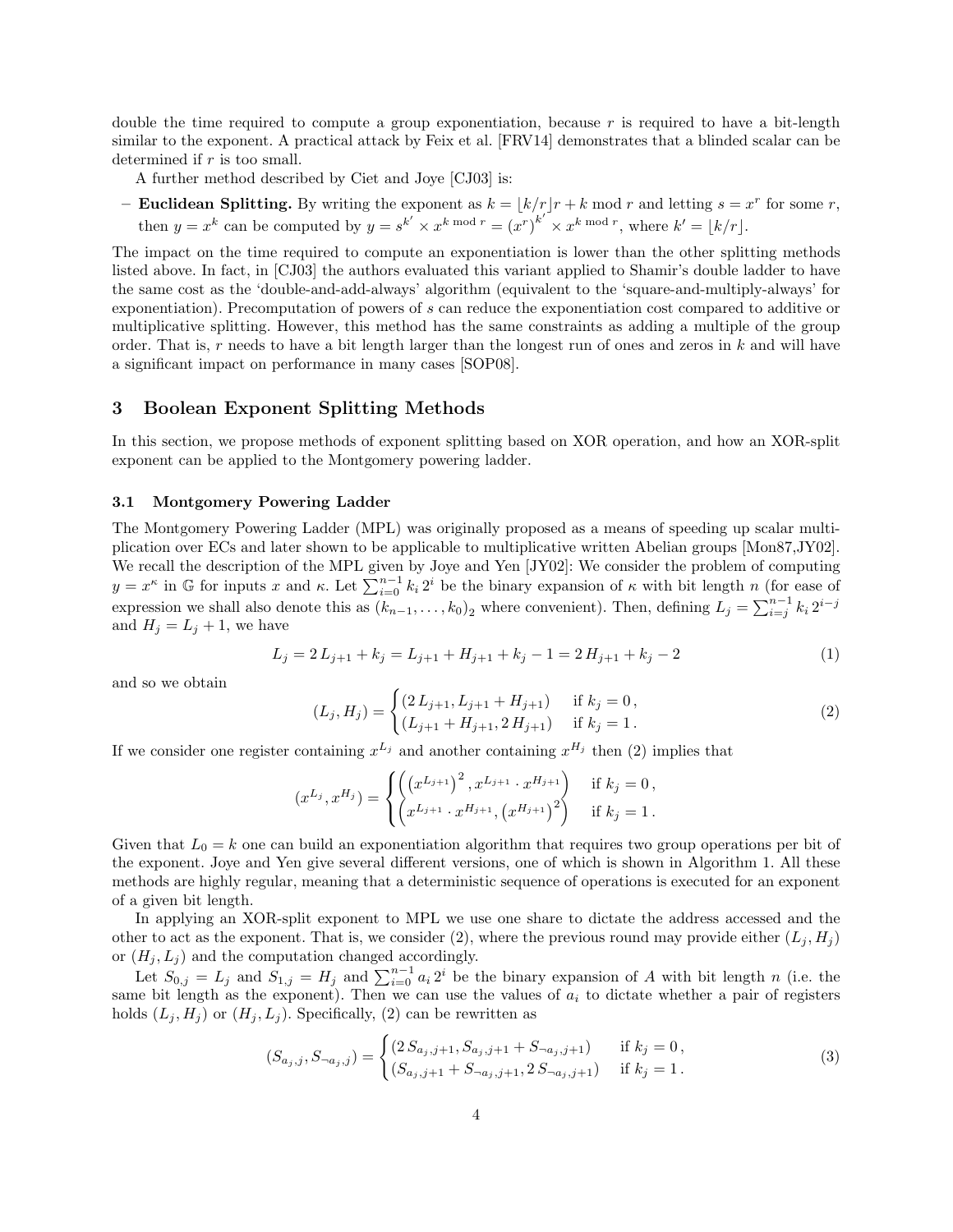double the time required to compute a group exponentiation, because  $r$  is required to have a bit-length similar to the exponent. A practical attack by Feix et al. [FRV14] demonstrates that a blinded scalar can be determined if  $r$  is too small.

A further method described by Ciet and Joye [CJ03] is:

- Euclidean Splitting. By writing the exponent as  $k = |k/r|r + k \text{ mod } r$  and letting  $s = x^r$  for some r, then  $y = x^k$  can be computed by  $y = s^{k'} \times x^k \mod r = (x^r)^{k'} \times x^k \mod r$ , where  $k' = |k/r|$ .

The impact on the time required to compute an exponentiation is lower than the other splitting methods listed above. In fact, in [CJ03] the authors evaluated this variant applied to Shamir's double ladder to have the same cost as the 'double-and-add-always' algorithm (equivalent to the 'square-and-multiply-always' for exponentiation). Precomputation of powers of s can reduce the exponentiation cost compared to additive or multiplicative splitting. However, this method has the same constraints as adding a multiple of the group order. That is, r needs to have a bit length larger than the longest run of ones and zeros in  $k$  and will have a significant impact on performance in many cases [SOP08].

### 3 Boolean Exponent Splitting Methods

In this section, we propose methods of exponent splitting based on XOR operation, and how an XOR-split exponent can be applied to the Montgomery powering ladder.

#### 3.1 Montgomery Powering Ladder

The Montgomery Powering Ladder (MPL) was originally proposed as a means of speeding up scalar multiplication over ECs and later shown to be applicable to multiplicative written Abelian groups [Mon87,JY02]. We recall the description of the MPL given by Joye and Yen [JY02]: We consider the problem of computing  $y = x^{\kappa}$  in G for inputs x and  $\kappa$ . Let  $\sum_{i=0}^{n-1} k_i 2^i$  be the binary expansion of  $\kappa$  with bit length n (for ease of expression we shall also denote this as  $(k_{n-1},...,k_0)_2$  where convenient). Then, defining  $L_j = \sum_{i=j}^{n-1} k_i 2^{i-j}$ and  $H_i = L_i + 1$ , we have

$$
L_j = 2 L_{j+1} + k_j = L_{j+1} + H_{j+1} + k_j - 1 = 2 H_{j+1} + k_j - 2
$$
\n<sup>(1)</sup>

and so we obtain

$$
(L_j, H_j) = \begin{cases} (2 L_{j+1}, L_{j+1} + H_{j+1}) & \text{if } k_j = 0, \\ (L_{j+1} + H_{j+1}, 2 H_{j+1}) & \text{if } k_j = 1. \end{cases}
$$
 (2)

If we consider one register containing  $x^{L_j}$  and another containing  $x^{H_j}$  then (2) implies that

$$
(x^{L_j}, x^{H_j}) = \begin{cases} \left( (x^{L_{j+1}})^2, x^{L_{j+1}} \cdot x^{H_{j+1}} \right) & \text{if } k_j = 0, \\ \left( x^{L_{j+1}} \cdot x^{H_{j+1}}, \left( x^{H_{j+1}} \right)^2 \right) & \text{if } k_j = 1. \end{cases}
$$

Given that  $L_0 = k$  one can build an exponentiation algorithm that requires two group operations per bit of the exponent. Joye and Yen give several different versions, one of which is shown in Algorithm 1. All these methods are highly regular, meaning that a deterministic sequence of operations is executed for an exponent of a given bit length.

In applying an XOR-split exponent to MPL we use one share to dictate the address accessed and the other to act as the exponent. That is, we consider (2), where the previous round may provide either  $(L_i, H_i)$ or  $(H_j, L_j)$  and the computation changed accordingly.

Let  $S_{0,j} = L_j$  and  $S_{1,j} = H_j$  and  $\sum_{i=0}^{n-1} a_i 2^i$  be the binary expansion of A with bit length n (i.e. the same bit length as the exponent). Then we can use the values of  $a_i$  to dictate whether a pair of registers holds  $(L_i, H_i)$  or  $(H_i, L_i)$ . Specifically, (2) can be rewritten as

$$
(S_{a_j,j}, S_{\neg a_j,j}) = \begin{cases} (2S_{a_j,j+1}, S_{a_j,j+1} + S_{\neg a_j,j+1}) & \text{if } k_j = 0, \\ (S_{a_j,j+1} + S_{\neg a_j,j+1}, 2S_{\neg a_j,j+1}) & \text{if } k_j = 1. \end{cases}
$$
(3)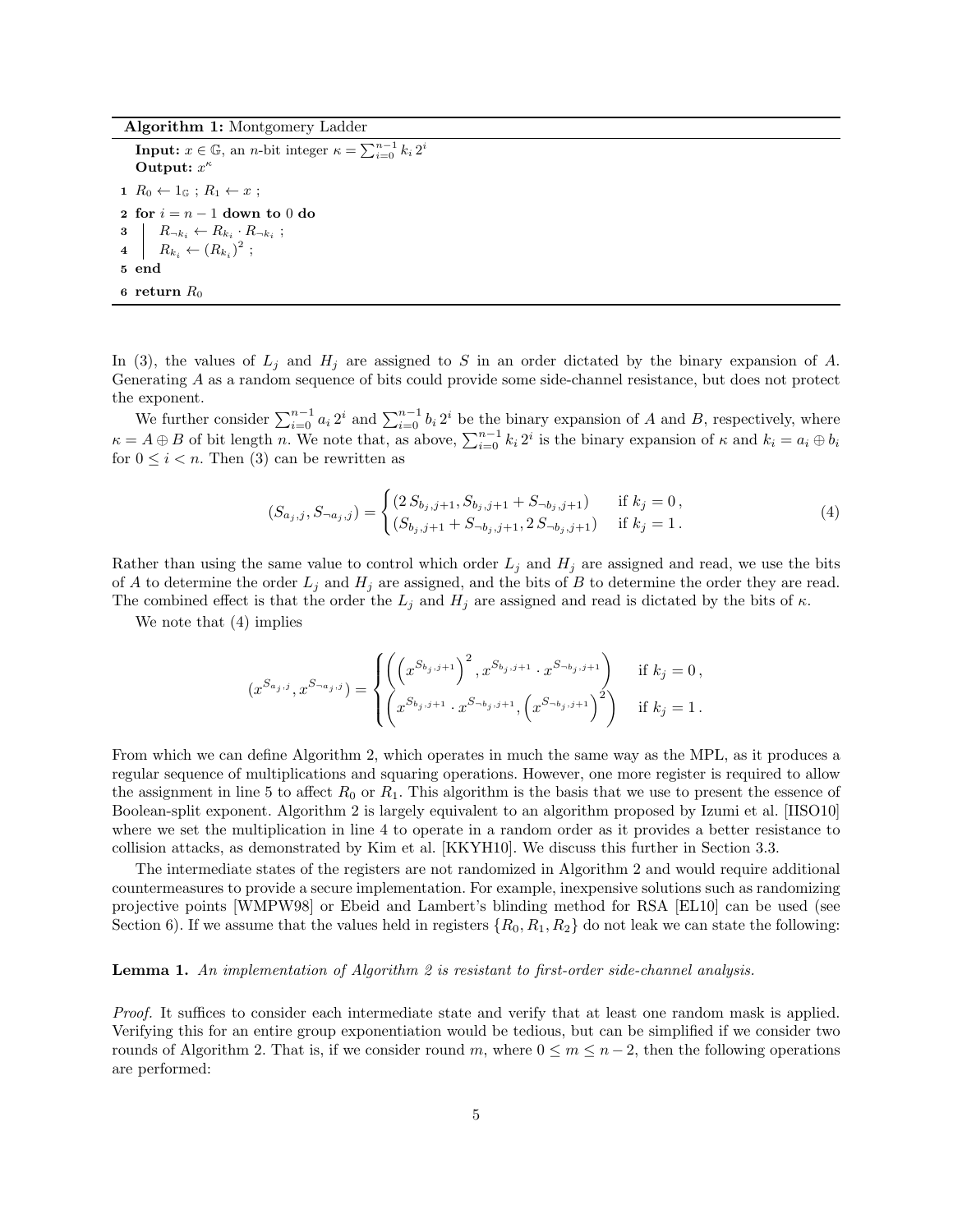Algorithm 1: Montgomery Ladder

**Input:**  $x \in \mathbb{G}$ , an *n*-bit integer  $\kappa = \sum_{i=0}^{n-1} k_i 2^i$ Output:  $x^{\kappa}$ 1  $R_0 \leftarrow 1_{\mathbb{G}}$ ;  $R_1 \leftarrow x$ ; 2 for  $i = n - 1$  down to 0 do 3  $R_{\neg k_i} \leftarrow R_{k_i} \cdot R_{\neg k_i}$ ; 4 |  $R_{k_i} \leftarrow (R_{k_i})^2$ ; 5 end 6 return  $R_0$ 

In (3), the values of  $L_j$  and  $H_j$  are assigned to S in an order dictated by the binary expansion of A. Generating A as a random sequence of bits could provide some side-channel resistance, but does not protect the exponent.

We further consider  $\sum_{i=0}^{n-1} a_i 2^i$  and  $\sum_{i=0}^{n-1} b_i 2^i$  be the binary expansion of A and B, respectively, where  $\kappa = A \oplus B$  of bit length n. We note that, as above,  $\sum_{i=0}^{n-1} k_i 2^i$  is the binary expansion of  $\kappa$  and  $k_i = a_i \oplus b_i$ for  $0 \leq i \leq n$ . Then (3) can be rewritten as

$$
(S_{a_j,j}, S_{\neg a_j,j}) = \begin{cases} (2S_{b_j,j+1}, S_{b_j,j+1} + S_{\neg b_j,j+1}) & \text{if } k_j = 0, \\ (S_{b_j,j+1} + S_{\neg b_j,j+1}, 2S_{\neg b_j,j+1}) & \text{if } k_j = 1. \end{cases}
$$
(4)

Rather than using the same value to control which order  $L_j$  and  $H_j$  are assigned and read, we use the bits of A to determine the order  $L_j$  and  $H_j$  are assigned, and the bits of B to determine the order they are read. The combined effect is that the order the  $L_j$  and  $H_j$  are assigned and read is dictated by the bits of  $\kappa$ .

We note that (4) implies

$$
(x^{S_{a_j,j}}, x^{S_{\neg a_j,j}}) = \begin{cases} \left( \left( x^{S_{b_j,j+1}} \right)^2, x^{S_{b_j,j+1}} \cdot x^{S_{\neg b_j,j+1}} \right) & \text{if } k_j = 0, \\ \left( x^{S_{b_j,j+1}} \cdot x^{S_{\neg b_j,j+1}}, \left( x^{S_{\neg b_j,j+1}} \right)^2 \right) & \text{if } k_j = 1. \end{cases}
$$

From which we can define Algorithm 2, which operates in much the same way as the MPL, as it produces a regular sequence of multiplications and squaring operations. However, one more register is required to allow the assignment in line 5 to affect  $R_0$  or  $R_1$ . This algorithm is the basis that we use to present the essence of Boolean-split exponent. Algorithm 2 is largely equivalent to an algorithm proposed by Izumi et al. [IISO10] where we set the multiplication in line 4 to operate in a random order as it provides a better resistance to collision attacks, as demonstrated by Kim et al. [KKYH10]. We discuss this further in Section 3.3.

The intermediate states of the registers are not randomized in Algorithm 2 and would require additional countermeasures to provide a secure implementation. For example, inexpensive solutions such as randomizing projective points [WMPW98] or Ebeid and Lambert's blinding method for RSA [EL10] can be used (see Section 6). If we assume that the values held in registers  $\{R_0, R_1, R_2\}$  do not leak we can state the following:

## Lemma 1. An implementation of Algorithm 2 is resistant to first-order side-channel analysis.

Proof. It suffices to consider each intermediate state and verify that at least one random mask is applied. Verifying this for an entire group exponentiation would be tedious, but can be simplified if we consider two rounds of Algorithm 2. That is, if we consider round m, where  $0 \le m \le n-2$ , then the following operations are performed: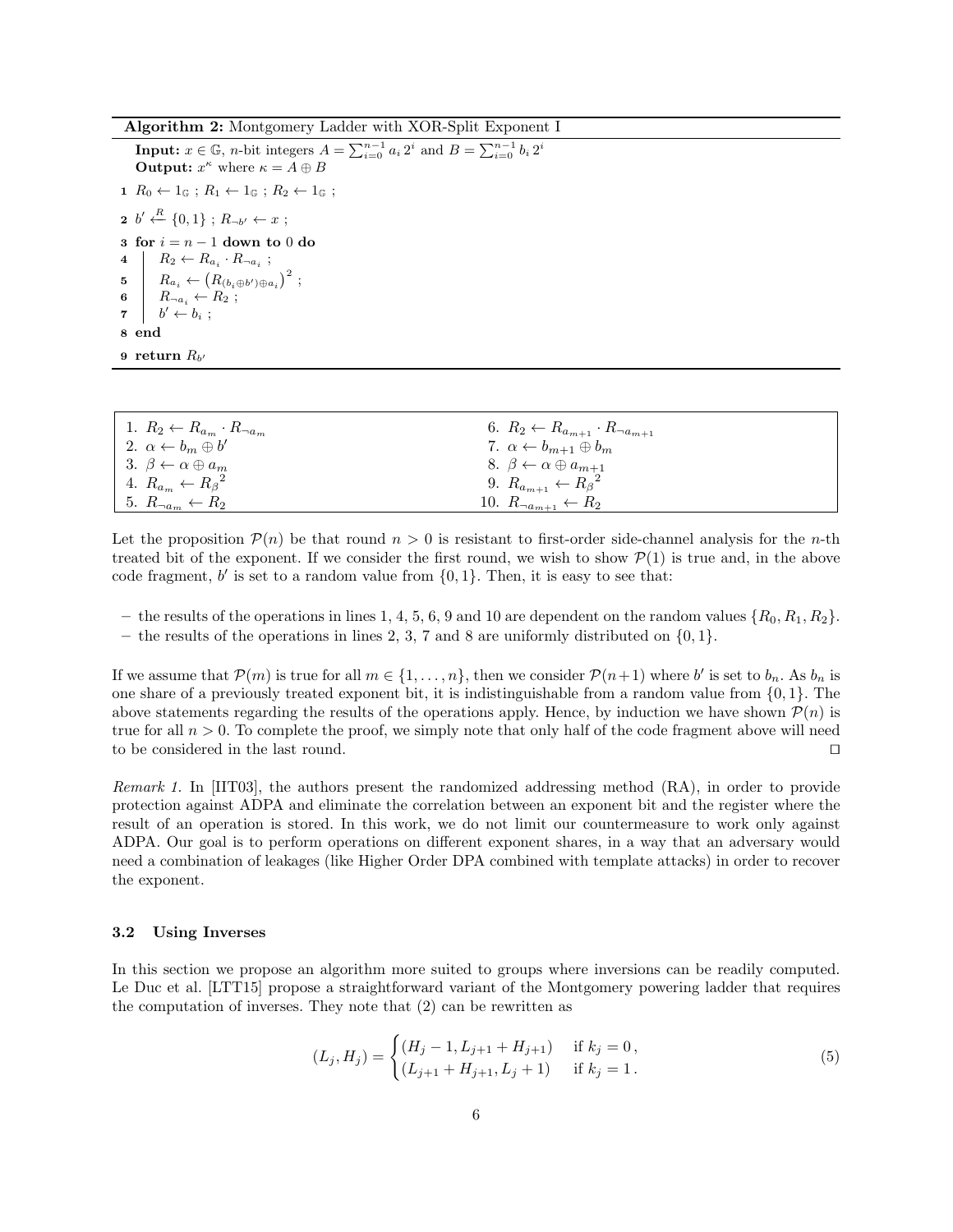Algorithm 2: Montgomery Ladder with XOR-Split Exponent I

**Input:**  $x \in \mathbb{G}$ , *n*-bit integers  $A = \sum_{i=0}^{n-1} a_i 2^i$  and  $B = \sum_{i=0}^{n-1} b_i 2^i$ **Output:**  $x^{\kappa}$  where  $\kappa = A \oplus B$  $1 R_0 \leftarrow 1_{\mathbb{G}}$ ;  $R_1 \leftarrow 1_{\mathbb{G}}$ ;  $R_2 \leftarrow 1_{\mathbb{G}}$ ; 2 b'  $\stackrel{R}{\leftarrow}$  {0, 1} ; R<sub>¬b'</sub>  $\leftarrow$  x ; 3 for  $i = n - 1$  down to 0 do 4  $R_2 \leftarrow R_{a_i} \cdot R_{\neg a_i}$ ; 5  $R_{a_i} \leftarrow (R_{(b_i \oplus b') \oplus a_i})^2$ ; 6  $R_{\neg a_i} \leftarrow R_2$ ;  $\begin{array}{ccc} \mathbf{7} & | & b' \leftarrow b_i ; \end{array}$ 8 end  $9$  return  $R_{b^\prime}$ 

| 1. $R_2 \leftarrow R_{a_m} \cdot R_{\neg a_m}$ | 6. $R_2 \leftarrow R_{a_{m+1}} \cdot R_{\neg a_{m+1}}$ |
|------------------------------------------------|--------------------------------------------------------|
| 2. $\alpha \leftarrow b_m \oplus b'$           | 7. $\alpha \leftarrow b_{m+1} \oplus b_m$              |
| 3. $\beta \leftarrow \alpha \oplus a_m$        | 8. $\beta \leftarrow \alpha \oplus a_{m+1}$            |
| 4. $R_{a_m} \leftarrow R_{\beta}^2$            | 9. $R_{a_{m+1}} \leftarrow R_{\beta}^2$                |
| 5. $R_{\neg a_m} \leftarrow R_2$               | 10. $R_{\neg a_{m+1}} \leftarrow R_2$                  |

Let the proposition  $\mathcal{P}(n)$  be that round  $n > 0$  is resistant to first-order side-channel analysis for the *n*-th treated bit of the exponent. If we consider the first round, we wish to show  $\mathcal{P}(1)$  is true and, in the above code fragment,  $b'$  is set to a random value from  $\{0, 1\}$ . Then, it is easy to see that:

- the results of the operations in lines 1, 4, 5, 6, 9 and 10 are dependent on the random values  $\{R_0, R_1, R_2\}$ .
- the results of the operations in lines 2, 3, 7 and 8 are uniformly distributed on  $\{0, 1\}$ .

If we assume that  $\mathcal{P}(m)$  is true for all  $m \in \{1, \ldots, n\}$ , then we consider  $\mathcal{P}(n+1)$  where b' is set to  $b_n$ . As  $b_n$  is one share of a previously treated exponent bit, it is indistinguishable from a random value from  $\{0, 1\}$ . The above statements regarding the results of the operations apply. Hence, by induction we have shown  $\mathcal{P}(n)$  is true for all  $n > 0$ . To complete the proof, we simply note that only half of the code fragment above will need to be considered in the last round.  $\Box$ 

Remark 1. In [IIT03], the authors present the randomized addressing method (RA), in order to provide protection against ADPA and eliminate the correlation between an exponent bit and the register where the result of an operation is stored. In this work, we do not limit our countermeasure to work only against ADPA. Our goal is to perform operations on different exponent shares, in a way that an adversary would need a combination of leakages (like Higher Order DPA combined with template attacks) in order to recover the exponent.

#### 3.2 Using Inverses

In this section we propose an algorithm more suited to groups where inversions can be readily computed. Le Duc et al. [LTT15] propose a straightforward variant of the Montgomery powering ladder that requires the computation of inverses. They note that (2) can be rewritten as

$$
(L_j, H_j) = \begin{cases} (H_j - 1, L_{j+1} + H_{j+1}) & \text{if } k_j = 0, \\ (L_{j+1} + H_{j+1}, L_j + 1) & \text{if } k_j = 1. \end{cases}
$$
 (5)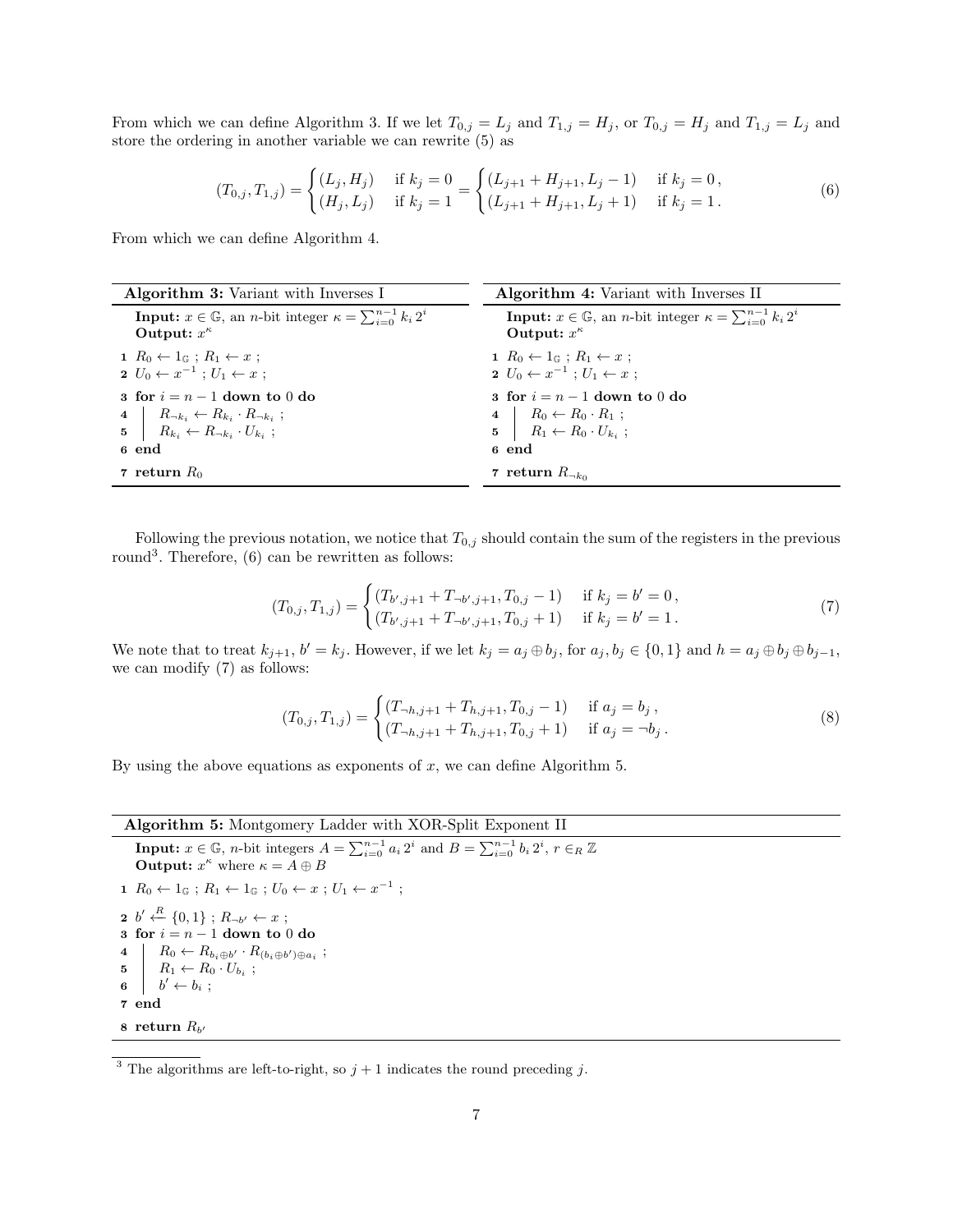From which we can define Algorithm 3. If we let  $T_{0,j} = L_j$  and  $T_{1,j} = H_j$ , or  $T_{0,j} = H_j$  and  $T_{1,j} = L_j$  and store the ordering in another variable we can rewrite (5) as

$$
(T_{0,j}, T_{1,j}) = \begin{cases} (L_j, H_j) & \text{if } k_j = 0\\ (H_j, L_j) & \text{if } k_j = 1 \end{cases} = \begin{cases} (L_{j+1} + H_{j+1}, L_j - 1) & \text{if } k_j = 0,\\ (L_{j+1} + H_{j+1}, L_j + 1) & \text{if } k_j = 1. \end{cases}
$$
(6)

From which we can define Algorithm 4.

| <b>Algorithm 3:</b> Variant with Inverses I                                                                                                                           | <b>Algorithm 4:</b> Variant with Inverses II                                                                            |
|-----------------------------------------------------------------------------------------------------------------------------------------------------------------------|-------------------------------------------------------------------------------------------------------------------------|
| <b>Input:</b> $x \in \mathbb{G}$ , an <i>n</i> -bit integer $\kappa = \sum_{i=0}^{n-1} k_i 2^i$<br>Output: $x^{\kappa}$                                               | <b>Input:</b> $x \in \mathbb{G}$ , an <i>n</i> -bit integer $\kappa = \sum_{i=0}^{n-1} k_i 2^i$<br>Output: $x^{\kappa}$ |
| $1 R_0 \leftarrow 1 \text{ } \mathbb{G}$ ; $R_1 \leftarrow x$ ;<br>$2 U_0 \leftarrow x^{-1} : U_1 \leftarrow x :$                                                     | $1 R_0 \leftarrow 1 \in \mathbb{R}$ ; $R_1 \leftarrow x$ ;<br>$2 U_0 \leftarrow x^{-1}$ ; $U_1 \leftarrow x$ ;          |
| 3 for $i = n - 1$ down to 0 do<br>4 $R_{\neg k_i} \leftarrow R_{k_i} \cdot R_{\neg k_i}$ ;<br>$\mathbf{5}$ $R_{k_i} \leftarrow R_{\neg k_i} \cdot U_{k_i}$ ;<br>6 end | 3 for $i = n - 1$ down to 0 do<br>4 $R_0 \leftarrow R_0 \cdot R_1 ;$<br>5 $R_1 \leftarrow R_0 \cdot U_{k_i} ;$<br>6 end |
| 7 return $R_0$                                                                                                                                                        | 7 return $R_{\neg k_0}$                                                                                                 |

Following the previous notation, we notice that  $T_{0,j}$  should contain the sum of the registers in the previous round<sup>3</sup>. Therefore,  $(6)$  can be rewritten as follows:

$$
(T_{0,j}, T_{1,j}) = \begin{cases} (T_{b',j+1} + T_{-b',j+1}, T_{0,j} - 1) & \text{if } k_j = b' = 0, \\ (T_{b',j+1} + T_{-b',j+1}, T_{0,j} + 1) & \text{if } k_j = b' = 1. \end{cases}
$$
(7)

We note that to treat  $k_{j+1}$ ,  $b' = k_j$ . However, if we let  $k_j = a_j \oplus b_j$ , for  $a_j, b_j \in \{0, 1\}$  and  $h = a_j \oplus b_j \oplus b_{j-1}$ , we can modify (7) as follows:

$$
(T_{0,j}, T_{1,j}) = \begin{cases} (T_{-h,j+1} + T_{h,j+1}, T_{0,j} - 1) & \text{if } a_j = b_j, \\ (T_{-h,j+1} + T_{h,j+1}, T_{0,j} + 1) & \text{if } a_j = \neg b_j. \end{cases}
$$
 (8)

By using the above equations as exponents of  $x$ , we can define Algorithm 5.

# Algorithm 5: Montgomery Ladder with XOR-Split Exponent II

**Input:**  $x \in \mathbb{G}$ , *n*-bit integers  $A = \sum_{i=0}^{n-1} a_i 2^i$  and  $B = \sum_{i=0}^{n-1} b_i 2^i$ ,  $r \in_R \mathbb{Z}$ **Output:**  $x^{\kappa}$  where  $\kappa = A \oplus B$ 1  $R_0 \leftarrow 1_{\mathbb{G}}$ ;  $R_1 \leftarrow 1_{\mathbb{G}}$ ;  $U_0 \leftarrow x$ ;  $U_1 \leftarrow x^{-1}$ ; 2  $b' \stackrel{R}{\leftarrow} \{0,1\}$ ;  $R_{\neg b'} \leftarrow x$ ;  $3 \text{ for } i = n - 1 \text{ down to } 0 \text{ do}$ 4  $R_0 \leftarrow R_{b_i \oplus b'} \cdot R_{(b_i \oplus b') \oplus a_i};$  $5 \mid R_1 \leftarrow R_0 \cdot U_{b_i}$ ; 6  $b' \leftarrow b_i$ ; 7 end

 $8$  return  $R_{b'}$ 

<sup>&</sup>lt;sup>3</sup> The algorithms are left-to-right, so  $j + 1$  indicates the round preceding j.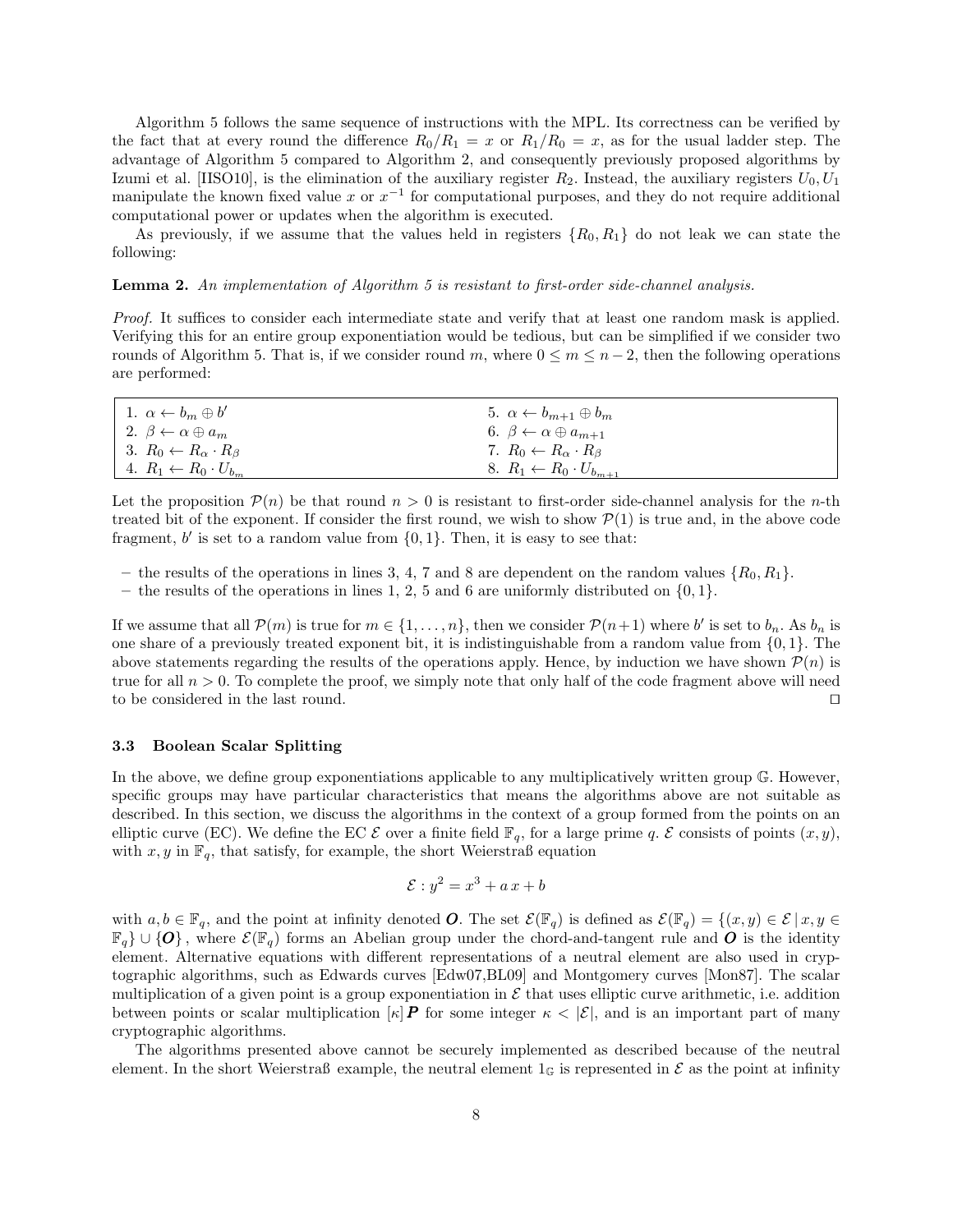Algorithm 5 follows the same sequence of instructions with the MPL. Its correctness can be verified by the fact that at every round the difference  $R_0/R_1 = x$  or  $R_1/R_0 = x$ , as for the usual ladder step. The advantage of Algorithm 5 compared to Algorithm 2, and consequently previously proposed algorithms by Izumi et al. [IISO10], is the elimination of the auxiliary register  $R_2$ . Instead, the auxiliary registers  $U_0, U_1$ manipulate the known fixed value x or  $x^{-1}$  for computational purposes, and they do not require additional computational power or updates when the algorithm is executed.

As previously, if we assume that the values held in registers  $\{R_0, R_1\}$  do not leak we can state the following:

Lemma 2. An implementation of Algorithm 5 is resistant to first-order side-channel analysis.

Proof. It suffices to consider each intermediate state and verify that at least one random mask is applied. Verifying this for an entire group exponentiation would be tedious, but can be simplified if we consider two rounds of Algorithm 5. That is, if we consider round m, where  $0 \le m \le n-2$ , then the following operations are performed:

| 1. $\alpha \leftarrow b_m \oplus b'$       | 5. $\alpha \leftarrow b_{m+1} \oplus b_m$   |
|--------------------------------------------|---------------------------------------------|
| 2. $\beta \leftarrow \alpha \oplus a_m$    | 6. $\beta \leftarrow \alpha \oplus a_{m+1}$ |
| 3. $R_0 \leftarrow R_\alpha \cdot R_\beta$ | 7. $R_0 \leftarrow R_\alpha \cdot R_\beta$  |
| 4. $R_1 \leftarrow R_0 \cdot U_{b_m}$      | 8. $R_1 \leftarrow R_0 \cdot U_{b_{m+1}}$   |

Let the proposition  $\mathcal{P}(n)$  be that round  $n > 0$  is resistant to first-order side-channel analysis for the *n*-th treated bit of the exponent. If consider the first round, we wish to show  $\mathcal{P}(1)$  is true and, in the above code fragment,  $b'$  is set to a random value from  $\{0, 1\}$ . Then, it is easy to see that:

- the results of the operations in lines 3, 4, 7 and 8 are dependent on the random values  $\{R_0, R_1\}$ .
- the results of the operations in lines 1, 2, 5 and 6 are uniformly distributed on  $\{0, 1\}$ .

If we assume that all  $\mathcal{P}(m)$  is true for  $m \in \{1, \ldots, n\}$ , then we consider  $\mathcal{P}(n+1)$  where b' is set to  $b_n$ . As  $b_n$  is one share of a previously treated exponent bit, it is indistinguishable from a random value from  $\{0, 1\}$ . The above statements regarding the results of the operations apply. Hence, by induction we have shown  $\mathcal{P}(n)$  is true for all  $n > 0$ . To complete the proof, we simply note that only half of the code fragment above will need to be considered in the last round.  $\Box$ 

#### 3.3 Boolean Scalar Splitting

In the above, we define group exponentiations applicable to any multiplicatively written group  $\mathbb{G}$ . However, specific groups may have particular characteristics that means the algorithms above are not suitable as described. In this section, we discuss the algorithms in the context of a group formed from the points on an elliptic curve (EC). We define the EC  $\mathcal E$  over a finite field  $\mathbb F_q$ , for a large prime q.  $\mathcal E$  consists of points  $(x, y)$ , with  $x, y$  in  $\mathbb{F}_q$ , that satisfy, for example, the short Weierstraß equation

$$
\mathcal{E}: y^2 = x^3 + a x + b
$$

with  $a, b \in \mathbb{F}_q$ , and the point at infinity denoted **O**. The set  $\mathcal{E}(\mathbb{F}_q)$  is defined as  $\mathcal{E}(\mathbb{F}_q) = \{(x, y) \in \mathcal{E} \mid x, y \in \mathcal{E} \mid x, y \in \mathcal{E} \mid x, y \in \mathcal{E} \mid x, y \in \mathcal{E} \mid x, y \in \mathcal{E} \mid x, y \in \mathcal{E} \mid x, y \in \mathcal{E} \$  $\mathbb{F}_q$  ∪ {O}, where  $\mathcal{E}(\mathbb{F}_q)$  forms an Abelian group under the chord-and-tangent rule and O is the identity element. Alternative equations with different representations of a neutral element are also used in cryptographic algorithms, such as Edwards curves [Edw07,BL09] and Montgomery curves [Mon87]. The scalar multiplication of a given point is a group exponentiation in  $\mathcal E$  that uses elliptic curve arithmetic, i.e. addition between points or scalar multiplication  $[\kappa]$  **P** for some integer  $\kappa < |\mathcal{E}|$ , and is an important part of many cryptographic algorithms.

The algorithms presented above cannot be securely implemented as described because of the neutral element. In the short Weierstraß example, the neutral element  $1_{\mathbb{G}}$  is represented in  $\mathcal E$  as the point at infinity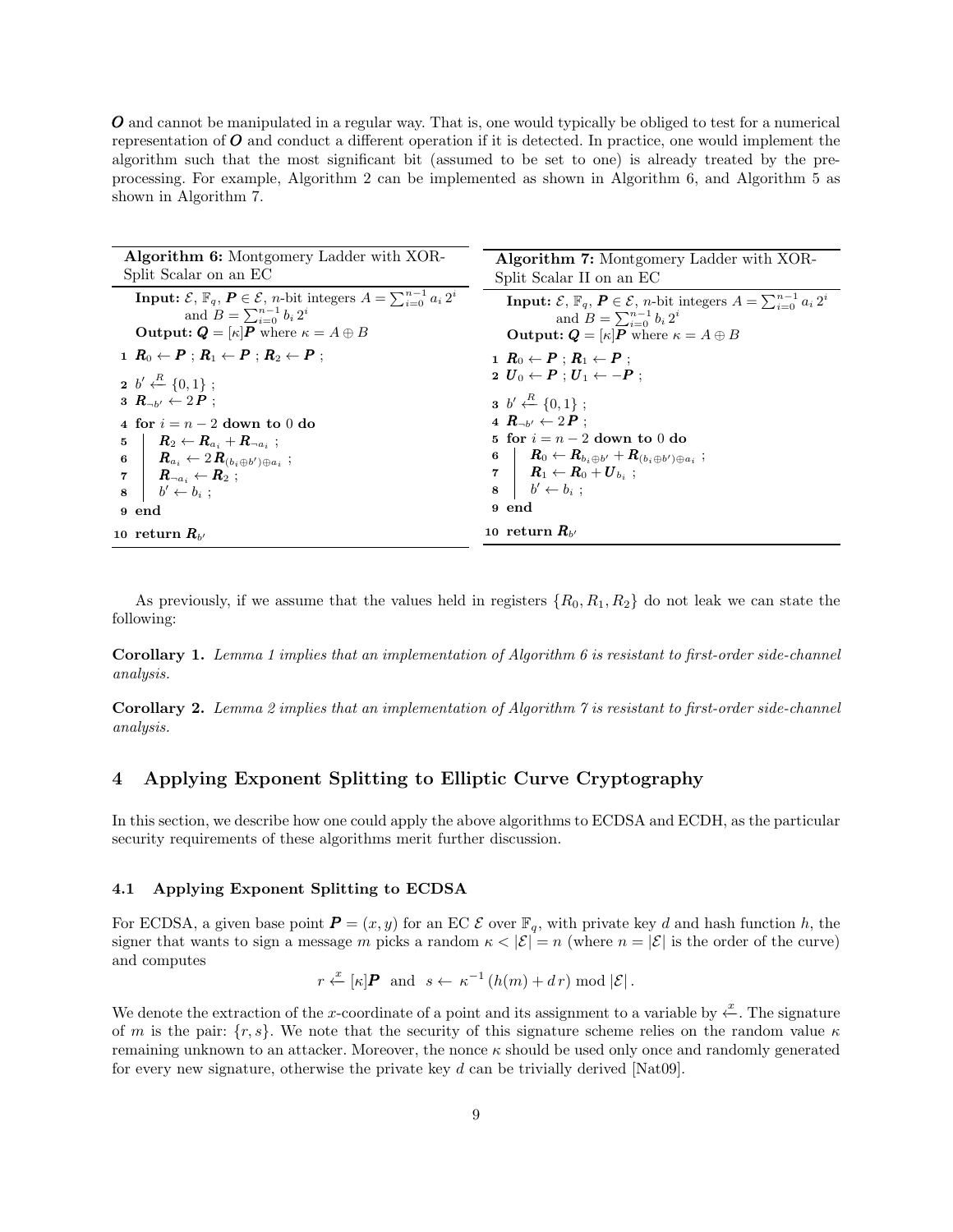O and cannot be manipulated in a regular way. That is, one would typically be obliged to test for a numerical representation of  $\boldsymbol{O}$  and conduct a different operation if it is detected. In practice, one would implement the algorithm such that the most significant bit (assumed to be set to one) is already treated by the preprocessing. For example, Algorithm 2 can be implemented as shown in Algorithm 6, and Algorithm 5 as shown in Algorithm 7.

| <b>Algorithm 6:</b> Montgomery Ladder with XOR-                                                              | <b>Algorithm 7:</b> Montgomery Ladder with XOR-                                                              |
|--------------------------------------------------------------------------------------------------------------|--------------------------------------------------------------------------------------------------------------|
| Split Scalar on an EC                                                                                        | Split Scalar II on an EC                                                                                     |
| <b>Input:</b> $\mathcal{E}, \mathbb{F}_q, P \in \mathcal{E}, n$ -bit integers $A = \sum_{i=0}^{n-1} a_i 2^i$ | <b>Input:</b> $\mathcal{E}, \mathbb{F}_q, P \in \mathcal{E}, n$ -bit integers $A = \sum_{i=0}^{n-1} a_i 2^i$ |
| and $B = \sum_{i=0}^{n-1} b_i 2^i$                                                                           | and $B = \sum_{i=0}^{n-1} b_i 2^i$                                                                           |
| <b>Output:</b> $Q = \kappa  P $ where $\kappa = A \oplus B$                                                  | <b>Output:</b> $Q = \kappa  P $ where $\kappa = A \oplus B$                                                  |
| $1\ R_0 \leftarrow P : R_1 \leftarrow P : R_2 \leftarrow P$                                                  | $1 \ R_0 \leftarrow P : R_1 \leftarrow P$ :                                                                  |
| $2 b' \xleftarrow{R} \{0,1\};$                                                                               | $2 U_0 \leftarrow P : U_1 \leftarrow -P$                                                                     |
| $3 R_{\rightarrow b'} \leftarrow 2 P$ :                                                                      | $3 b' \stackrel{R}{\leftarrow} \{0,1\}$ ;                                                                    |
| 4 for $i = n - 2$ down to 0 do                                                                               | 4 $R_{-\nu'} \leftarrow 2P$ :                                                                                |
| $\begin{array}{ccc} \hbox{5} & R_2 \leftarrow R_{a_i} + R_{\neg a_i} \; ; \end{array}$                       | 5 for $i = n - 2$ down to 0 do                                                                               |
| 6   $R_{a_i} \leftarrow 2 R_{(b_i \oplus b') \oplus a_i}$ ;                                                  | 6   $R_0 \leftarrow R_{b_i \oplus b'} + R_{(b_i \oplus b') \oplus a_i}$ ;                                    |
| $\begin{array}{ccc} \mathbf{7} & \mid & \bm{R}_{\neg a_i} \leftarrow \bm{R}_2 \; ; \end{array}$              | $\begin{array}{ccc} \mathbf{7} & \mid & \bm{R}_1 \leftarrow \bm{R}_0 + \bm{U}_{b_i} \end{array} ;$           |
| $b' \leftarrow b_i$ :<br>8                                                                                   | $\mathbf{s}$   $b' \leftarrow b_i$ ;                                                                         |
| 9 end                                                                                                        | 9 end                                                                                                        |
| 10 return $R_{h'}$                                                                                           | 10 return $R_{h'}$                                                                                           |
|                                                                                                              |                                                                                                              |

As previously, if we assume that the values held in registers  $\{R_0, R_1, R_2\}$  do not leak we can state the following:

Corollary 1. Lemma 1 implies that an implementation of Algorithm 6 is resistant to first-order side-channel analysis.

**Corollary 2.** Lemma 2 implies that an implementation of Algorithm  $\gamma$  is resistant to first-order side-channel analysis.

# 4 Applying Exponent Splitting to Elliptic Curve Cryptography

In this section, we describe how one could apply the above algorithms to ECDSA and ECDH, as the particular security requirements of these algorithms merit further discussion.

## 4.1 Applying Exponent Splitting to ECDSA

For ECDSA, a given base point  $P = (x, y)$  for an EC  $\mathcal E$  over  $\mathbb F_q$ , with private key d and hash function h, the signer that wants to sign a message m picks a random  $\kappa < |\mathcal{E}| = n$  (where  $n = |\mathcal{E}|$  is the order of the curve) and computes

$$
r \stackrel{x}{\leftarrow} [\kappa] \mathbf{P}
$$
 and  $s \leftarrow \kappa^{-1} (h(m) + dr) \bmod |\mathcal{E}|$ .

We denote the extraction of the x-coordinate of a point and its assignment to a variable by  $\frac{x}{\epsilon}$ . The signature of m is the pair:  $\{r, s\}$ . We note that the security of this signature scheme relies on the random value  $\kappa$ remaining unknown to an attacker. Moreover, the nonce  $\kappa$  should be used only once and randomly generated for every new signature, otherwise the private key  $d$  can be trivially derived [Nat09].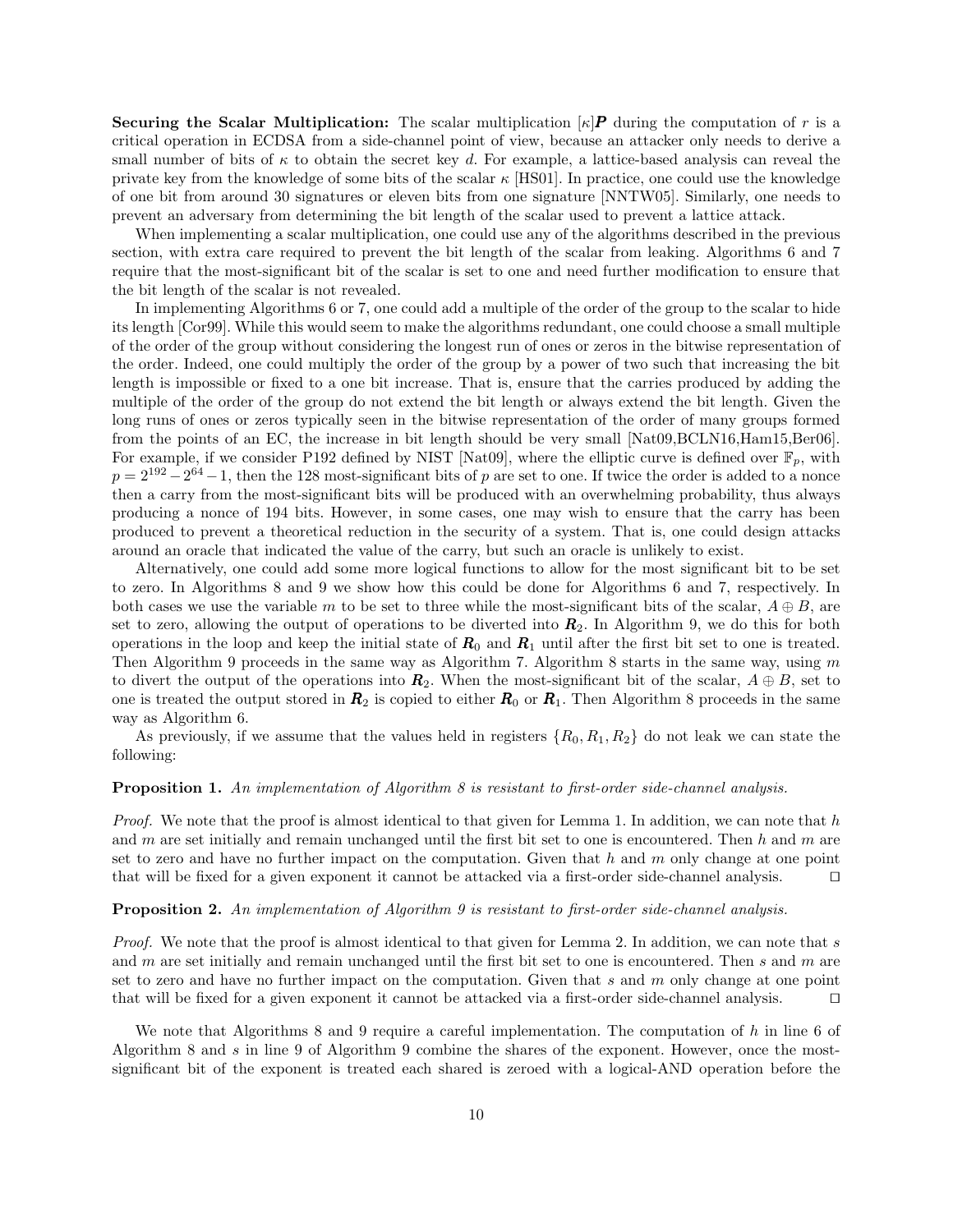**Securing the Scalar Multiplication:** The scalar multiplication  $\kappa |P|$  during the computation of r is a critical operation in ECDSA from a side-channel point of view, because an attacker only needs to derive a small number of bits of  $\kappa$  to obtain the secret key d. For example, a lattice-based analysis can reveal the private key from the knowledge of some bits of the scalar  $\kappa$  [HS01]. In practice, one could use the knowledge of one bit from around 30 signatures or eleven bits from one signature [NNTW05]. Similarly, one needs to prevent an adversary from determining the bit length of the scalar used to prevent a lattice attack.

When implementing a scalar multiplication, one could use any of the algorithms described in the previous section, with extra care required to prevent the bit length of the scalar from leaking. Algorithms 6 and 7 require that the most-significant bit of the scalar is set to one and need further modification to ensure that the bit length of the scalar is not revealed.

In implementing Algorithms 6 or 7, one could add a multiple of the order of the group to the scalar to hide its length [Cor99]. While this would seem to make the algorithms redundant, one could choose a small multiple of the order of the group without considering the longest run of ones or zeros in the bitwise representation of the order. Indeed, one could multiply the order of the group by a power of two such that increasing the bit length is impossible or fixed to a one bit increase. That is, ensure that the carries produced by adding the multiple of the order of the group do not extend the bit length or always extend the bit length. Given the long runs of ones or zeros typically seen in the bitwise representation of the order of many groups formed from the points of an EC, the increase in bit length should be very small [Nat09,BCLN16,Ham15,Ber06]. For example, if we consider P192 defined by NIST [Nat09], where the elliptic curve is defined over  $\mathbb{F}_p$ , with  $p = 2^{192} - 2^{64} - 1$ , then the 128 most-significant bits of p are set to one. If twice the order is added to a nonce then a carry from the most-significant bits will be produced with an overwhelming probability, thus always producing a nonce of 194 bits. However, in some cases, one may wish to ensure that the carry has been produced to prevent a theoretical reduction in the security of a system. That is, one could design attacks around an oracle that indicated the value of the carry, but such an oracle is unlikely to exist.

Alternatively, one could add some more logical functions to allow for the most significant bit to be set to zero. In Algorithms 8 and 9 we show how this could be done for Algorithms 6 and 7, respectively. In both cases we use the variable m to be set to three while the most-significant bits of the scalar,  $A \oplus B$ , are set to zero, allowing the output of operations to be diverted into  $R_2$ . In Algorithm 9, we do this for both operations in the loop and keep the initial state of  $R_0$  and  $R_1$  until after the first bit set to one is treated. Then Algorithm 9 proceeds in the same way as Algorithm 7. Algorithm 8 starts in the same way, using  $m$ to divert the output of the operations into  $\mathbf{R}_2$ . When the most-significant bit of the scalar,  $A \oplus B$ , set to one is treated the output stored in  $R_2$  is copied to either  $R_0$  or  $R_1$ . Then Algorithm 8 proceeds in the same way as Algorithm 6.

As previously, if we assume that the values held in registers  $\{R_0, R_1, R_2\}$  do not leak we can state the following:

#### Proposition 1. An implementation of Algorithm 8 is resistant to first-order side-channel analysis.

*Proof.* We note that the proof is almost identical to that given for Lemma 1. In addition, we can note that  $h$ and m are set initially and remain unchanged until the first bit set to one is encountered. Then h and m are set to zero and have no further impact on the computation. Given that h and m only change at one point that will be fixed for a given exponent it cannot be attacked via a first-order side-channel analysis.  $\square$ 

#### Proposition 2. An implementation of Algorithm 9 is resistant to first-order side-channel analysis.

Proof. We note that the proof is almost identical to that given for Lemma 2. In addition, we can note that s and m are set initially and remain unchanged until the first bit set to one is encountered. Then s and m are set to zero and have no further impact on the computation. Given that s and  $m$  only change at one point that will be fixed for a given exponent it cannot be attacked via a first-order side-channel analysis. ut

We note that Algorithms 8 and 9 require a careful implementation. The computation of h in line 6 of Algorithm 8 and s in line 9 of Algorithm 9 combine the shares of the exponent. However, once the mostsignificant bit of the exponent is treated each shared is zeroed with a logical-AND operation before the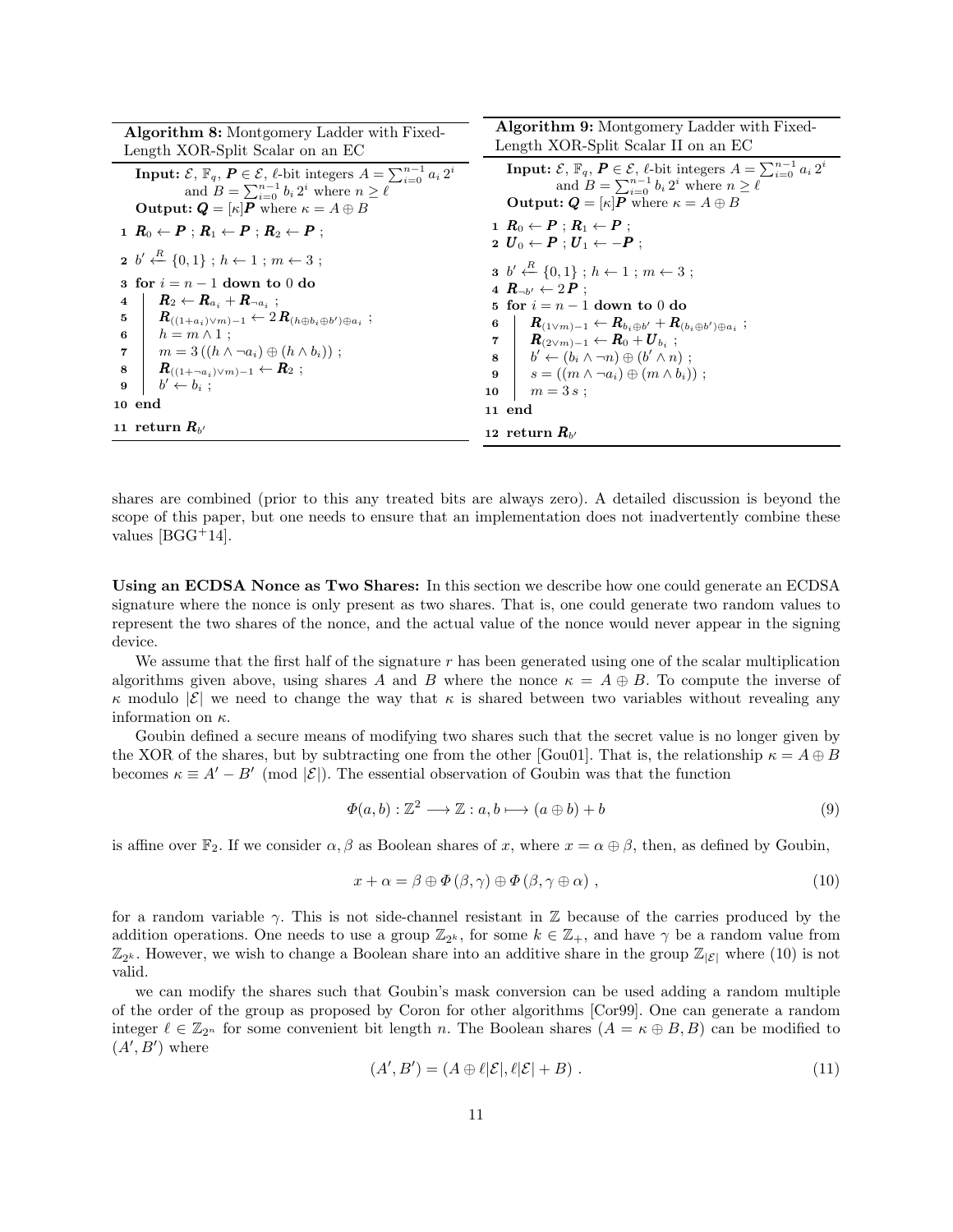| Algorithm 8: Montgomery Ladder with Fixed-<br>Length XOR-Split Scalar on an EC                                                                                                                                                                                                                                                                                                                                                                                                                            | <b>Algorithm 9:</b> Montgomery Ladder with Fixed-<br>Length XOR-Split Scalar II on an EC                                                                                                                                                                                                                                                                                                                                                                                                                                              |
|-----------------------------------------------------------------------------------------------------------------------------------------------------------------------------------------------------------------------------------------------------------------------------------------------------------------------------------------------------------------------------------------------------------------------------------------------------------------------------------------------------------|---------------------------------------------------------------------------------------------------------------------------------------------------------------------------------------------------------------------------------------------------------------------------------------------------------------------------------------------------------------------------------------------------------------------------------------------------------------------------------------------------------------------------------------|
| <b>Input:</b> $\mathcal{E}, \mathbb{F}_q, P \in \mathcal{E}, \ell$ -bit integers $A = \sum_{i=0}^{n-1} a_i 2^i$<br>and $B = \sum_{i=0}^{n-1} b_i 2^i$ where $n \geq \ell$<br><b>Output:</b> $Q = \kappa P$ where $\kappa = A \oplus B$                                                                                                                                                                                                                                                                    | <b>Input:</b> $\mathcal{E}, \mathbb{F}_q, P \in \mathcal{E}, \ell$ -bit integers $A = \sum_{i=0}^{n-1} a_i 2^i$<br>and $B = \sum_{i=0}^{n-1} b_i 2^i$ where $n \geq \ell$<br><b>Output:</b> $Q = [\kappa]P$ where $\kappa = A \oplus B$                                                                                                                                                                                                                                                                                               |
| $1 \ R_0 \leftarrow P : R_1 \leftarrow P : R_2 \leftarrow P$                                                                                                                                                                                                                                                                                                                                                                                                                                              | $1 R_0 \leftarrow P : R_1 \leftarrow P$<br>$2 U_0 \leftarrow P : U_1 \leftarrow -P :$                                                                                                                                                                                                                                                                                                                                                                                                                                                 |
| $2 b' \stackrel{R}{\leftarrow} \{0,1\}$ ; $h \leftarrow 1$ ; $m \leftarrow 3$ ;<br>3 for $i = n - 1$ down to 0 do<br>$\bm{R}_2 \leftarrow \bm{R}_{a_i} + \bm{R}_{\neg a_i}$ ;<br>$\overline{4}$<br>$\bm{R}_{((1+a_i)\vee m)-1} \leftarrow 2\bm{R}_{(h\oplus b_i\oplus b')\oplus a_i};$<br>5<br>$h = m \wedge 1$ :<br>$6\quad$<br>$m=3((h \wedge \neg a_i) \oplus (h \wedge b_i))$ ;<br>$7^{\circ}$<br>$\bm{R}_{((1+\neg a_i)\vee m)-1} \leftarrow \bm{R}_2;$<br>8<br>$b' \leftarrow b_i$ :<br>9<br>10 end | <b>3</b> $b' \stackrel{R}{\leftarrow} \{0,1\}$ ; $h \leftarrow 1$ ; $m \leftarrow 3$ ;<br>4 $\mathbf{R}_{\neg b'} \leftarrow 2\mathbf{P}$ :<br>5 for $i = n - 1$ down to 0 do<br>$\bm{R}_{(1 \vee m) - 1} \leftarrow \bm{R}_{b_i \oplus b'} + \bm{R}_{(b_i \oplus b') \oplus a_i}$<br>6<br>$7 \vert$<br>$ R_{(2\vee m)-1} \leftarrow R_0 + {U}_{b_i};$<br>$8-1$<br>$\vert b' \leftarrow (b_i \wedge \neg n) \oplus (b' \wedge n)$ ;<br>$\mathbf{9}$<br>$s = ((m \wedge \neg a_i) \oplus (m \wedge b_i))$ ;<br>$m=3s;$<br>10<br>11 end |
| 11 return $R_{h'}$                                                                                                                                                                                                                                                                                                                                                                                                                                                                                        | 12 return $R_{h'}$                                                                                                                                                                                                                                                                                                                                                                                                                                                                                                                    |

shares are combined (prior to this any treated bits are always zero). A detailed discussion is beyond the scope of this paper, but one needs to ensure that an implementation does not inadvertently combine these values  $[BGG^+14]$ .

Using an ECDSA Nonce as Two Shares: In this section we describe how one could generate an ECDSA signature where the nonce is only present as two shares. That is, one could generate two random values to represent the two shares of the nonce, and the actual value of the nonce would never appear in the signing device.

We assume that the first half of the signature  $r$  has been generated using one of the scalar multiplication algorithms given above, using shares A and B where the nonce  $\kappa = A \oplus B$ . To compute the inverse of  $κ$  modulo  $|ε|$  we need to change the way that  $κ$  is shared between two variables without revealing any information on  $\kappa$ .

Goubin defined a secure means of modifying two shares such that the secret value is no longer given by the XOR of the shares, but by subtracting one from the other [Gou01]. That is, the relationship  $\kappa = A \oplus B$ becomes  $\kappa \equiv A' - B' \pmod{|\mathcal{E}|}$ . The essential observation of Goubin was that the function

$$
\Phi(a,b): \mathbb{Z}^2 \longrightarrow \mathbb{Z}: a, b \longmapsto (a \oplus b) + b \tag{9}
$$

is affine over  $\mathbb{F}_2$ . If we consider  $\alpha, \beta$  as Boolean shares of x, where  $x = \alpha \oplus \beta$ , then, as defined by Goubin,

$$
x + \alpha = \beta \oplus \Phi(\beta, \gamma) \oplus \Phi(\beta, \gamma \oplus \alpha) , \qquad (10)
$$

for a random variable  $\gamma$ . This is not side-channel resistant in Z because of the carries produced by the addition operations. One needs to use a group  $\mathbb{Z}_{2^k}$ , for some  $k \in \mathbb{Z}_+$ , and have  $\gamma$  be a random value from  $\mathbb{Z}_{2^k}$ . However, we wish to change a Boolean share into an additive share in the group  $\mathbb{Z}_{|\mathcal{E}|}$  where (10) is not valid.

we can modify the shares such that Goubin's mask conversion can be used adding a random multiple of the order of the group as proposed by Coron for other algorithms [Cor99]. One can generate a random integer  $\ell \in \mathbb{Z}_{2^n}$  for some convenient bit length n. The Boolean shares  $(A = \kappa \oplus B, B)$  can be modified to  $(A', B')$  where

$$
(A', B') = (A \oplus \ell |{\mathcal{E}}|, \ell |{\mathcal{E}}| + B) . \tag{11}
$$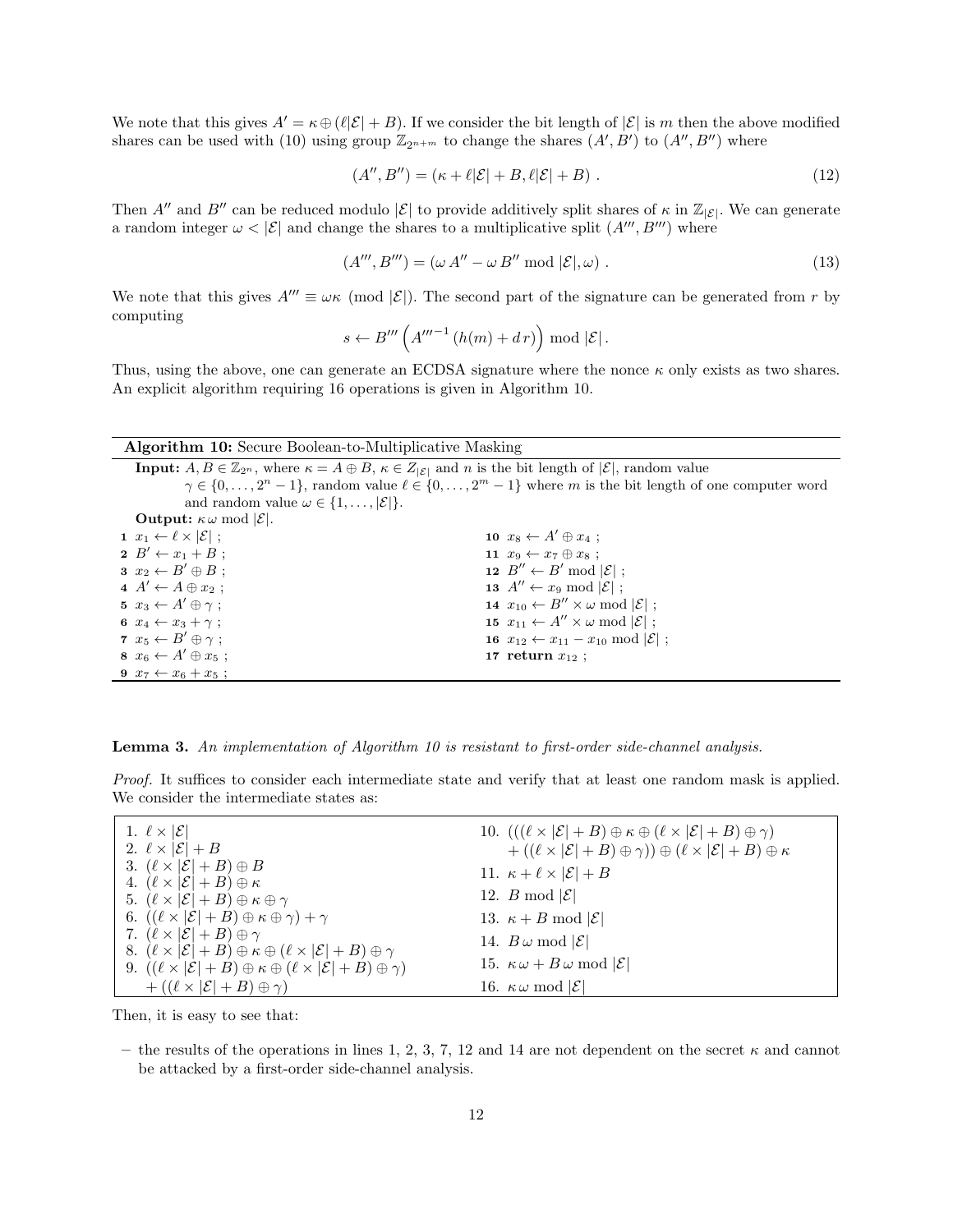We note that this gives  $A' = \kappa \oplus (\ell |\mathcal{E}| + B)$ . If we consider the bit length of  $|\mathcal{E}|$  is m then the above modified shares can be used with (10) using group  $\mathbb{Z}_{2^{n+m}}$  to change the shares  $(A', B')$  to  $(A'', B'')$  where

$$
(A'', B'') = (\kappa + \ell |\mathcal{E}| + B, \ell |\mathcal{E}| + B) \tag{12}
$$

Then A<sup>n</sup> and B<sup>n</sup> can be reduced modulo  $|\mathcal{E}|$  to provide additively split shares of  $\kappa$  in  $\mathbb{Z}_{|\mathcal{E}|}$ . We can generate a random integer  $\omega < |\mathcal{E}|$  and change the shares to a multiplicative split  $(A''', B''')$  where

$$
(A''', B''') = (\omega A'' - \omega B'' \bmod |\mathcal{E}|, \omega).
$$
\n(13)

We note that this gives  $A''' \equiv \omega \kappa \pmod{|\mathcal{E}|}$ . The second part of the signature can be generated from r by computing

$$
s \leftarrow B''' \left( A''''^{-1} \left( h(m) + dr \right) \right) \bmod |\mathcal{E}|.
$$

Thus, using the above, one can generate an ECDSA signature where the nonce  $\kappa$  only exists as two shares. An explicit algorithm requiring 16 operations is given in Algorithm 10.

#### Algorithm 10: Secure Boolean-to-Multiplicative Masking

**Input:**  $A, B \in \mathbb{Z}_{2^n}$ , where  $\kappa = A \oplus B$ ,  $\kappa \in Z_{|\mathcal{E}|}$  and n is the bit length of  $|\mathcal{E}|$ , random value  $\gamma \in \{0, \ldots, 2^n-1\}$ , random value  $\ell \in \{0, \ldots, 2^m-1\}$  where m is the bit length of one computer word and random value  $\omega \in \{1, \ldots, |\mathcal{E}|\}.$ **Output:**  $\kappa \omega \mod |\mathcal{E}|$ .  $x_1 \leftarrow \ell \times |\mathcal{E}|$ ;  $2 B' \leftarrow x_1 + B;$  $3 x_2 \leftarrow B' \oplus B$ ;  $A' \leftarrow A \oplus x_2$ ;  $x_3 \leftarrow A' \oplus \gamma$ ;  $x_4 \leftarrow x_3 + \gamma$ ;  $x_5 \leftarrow B' \oplus \gamma$ ;  $s \ x_6 \leftarrow A' \oplus x_5 ;$  $x_7 \leftarrow x_6 + x_5$  $x_8 \leftarrow A' \oplus x_4;$  $x_9 \leftarrow x_7 \oplus x_8$ ;  $B'' \leftarrow B' \bmod |\mathcal{E}|$ ;  $A'' \leftarrow x_9 \mod |\mathcal{E}|$ ;  $x_{10} \leftarrow B'' \times \omega \mod |\mathcal{E}|$ ;  $x_{11} \leftarrow A'' \times \omega \mod |\mathcal{E}|$ ;  $x_{12} \leftarrow x_{11} - x_{10} \mod |\mathcal{E}|$ ; 17 return  $x_{12}$ ;

Lemma 3. An implementation of Algorithm 10 is resistant to first-order side-channel analysis.

Proof. It suffices to consider each intermediate state and verify that at least one random mask is applied. We consider the intermediate states as:

| 1. $\ell \times  \mathcal{E} $                                                                                                                                                                                       | 10. $(((\ell \times  \mathcal{E}  + B) \oplus \kappa \oplus (\ell \times  \mathcal{E}  + B) \oplus \gamma)$ |
|----------------------------------------------------------------------------------------------------------------------------------------------------------------------------------------------------------------------|-------------------------------------------------------------------------------------------------------------|
| 2. $\ell \times  \mathcal{E}  + B$                                                                                                                                                                                   | $+ ((\ell \times  \mathcal{E}  + B) \oplus \gamma)) \oplus (\ell \times  \mathcal{E}  + B) \oplus \kappa$   |
| 3. $(\ell \times  \mathcal{E}  + B) \oplus B$<br>4. $(\ell \times  \mathcal{E}  + B) \oplus \kappa$                                                                                                                  | 11. $\kappa + \ell \times  \mathcal{E}  + B$                                                                |
| 5. $(\ell \times  \mathcal{E}  + B) \oplus \kappa \oplus \gamma$                                                                                                                                                     | 12. B mod $ \mathcal{E} $                                                                                   |
| 6. $((\ell \times  \mathcal{E}  + B) \oplus \kappa \oplus \gamma) + \gamma$                                                                                                                                          | 13. $\kappa + B \mod  \mathcal{E} $                                                                         |
| 7. $(\ell \times  \mathcal{E}  + B) \oplus \gamma$                                                                                                                                                                   | 14. $B\omega \mod  \mathcal{E} $                                                                            |
| 8. $(\ell \times  \mathcal{E}  + B) \oplus \kappa \oplus (\ell \times  \mathcal{E}  + B) \oplus \gamma$<br>9. $((\ell \times  \mathcal{E}  + B) \oplus \kappa \oplus (\ell \times  \mathcal{E}  + B) \oplus \gamma)$ | 15. $\kappa \omega + B \omega \mod  \mathcal{E} $                                                           |
| $+ ((\ell \times  \mathcal{E}  + B) \oplus \gamma)$                                                                                                                                                                  | 16. $\kappa \omega \mod  \mathcal{E} $                                                                      |

Then, it is easy to see that:

– the results of the operations in lines 1, 2, 3, 7, 12 and 14 are not dependent on the secret  $\kappa$  and cannot be attacked by a first-order side-channel analysis.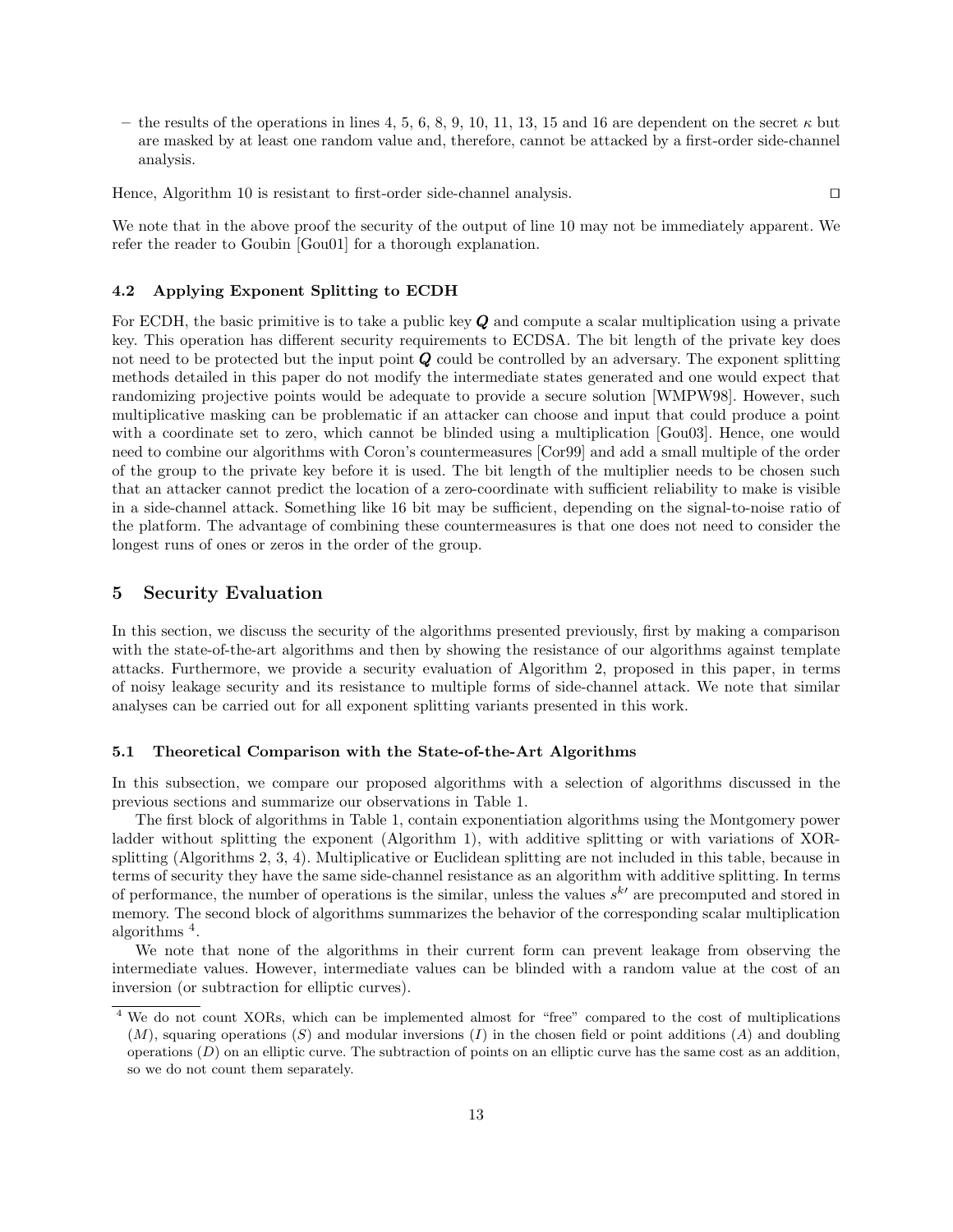– the results of the operations in lines 4, 5, 6, 8, 9, 10, 11, 13, 15 and 16 are dependent on the secret  $\kappa$  but are masked by at least one random value and, therefore, cannot be attacked by a first-order side-channel analysis.

Hence, Algorithm 10 is resistant to first-order side-channel analysis.  $\Box$ 

We note that in the above proof the security of the output of line 10 may not be immediately apparent. We refer the reader to Goubin [Gou01] for a thorough explanation.

### 4.2 Applying Exponent Splitting to ECDH

For ECDH, the basic primitive is to take a public key  $Q$  and compute a scalar multiplication using a private key. This operation has different security requirements to ECDSA. The bit length of the private key does not need to be protected but the input point  $Q$  could be controlled by an adversary. The exponent splitting methods detailed in this paper do not modify the intermediate states generated and one would expect that randomizing projective points would be adequate to provide a secure solution [WMPW98]. However, such multiplicative masking can be problematic if an attacker can choose and input that could produce a point with a coordinate set to zero, which cannot be blinded using a multiplication [Gou03]. Hence, one would need to combine our algorithms with Coron's countermeasures [Cor99] and add a small multiple of the order of the group to the private key before it is used. The bit length of the multiplier needs to be chosen such that an attacker cannot predict the location of a zero-coordinate with sufficient reliability to make is visible in a side-channel attack. Something like 16 bit may be sufficient, depending on the signal-to-noise ratio of the platform. The advantage of combining these countermeasures is that one does not need to consider the longest runs of ones or zeros in the order of the group.

### 5 Security Evaluation

In this section, we discuss the security of the algorithms presented previously, first by making a comparison with the state-of-the-art algorithms and then by showing the resistance of our algorithms against template attacks. Furthermore, we provide a security evaluation of Algorithm 2, proposed in this paper, in terms of noisy leakage security and its resistance to multiple forms of side-channel attack. We note that similar analyses can be carried out for all exponent splitting variants presented in this work.

#### 5.1 Theoretical Comparison with the State-of-the-Art Algorithms

In this subsection, we compare our proposed algorithms with a selection of algorithms discussed in the previous sections and summarize our observations in Table 1.

The first block of algorithms in Table 1, contain exponentiation algorithms using the Montgomery power ladder without splitting the exponent (Algorithm 1), with additive splitting or with variations of XORsplitting (Algorithms 2, 3, 4). Multiplicative or Euclidean splitting are not included in this table, because in terms of security they have the same side-channel resistance as an algorithm with additive splitting. In terms of performance, the number of operations is the similar, unless the values  $s^{k'}$  are precomputed and stored in memory. The second block of algorithms summarizes the behavior of the corresponding scalar multiplication algorithms<sup>4</sup>.

We note that none of the algorithms in their current form can prevent leakage from observing the intermediate values. However, intermediate values can be blinded with a random value at the cost of an inversion (or subtraction for elliptic curves).

<sup>&</sup>lt;sup>4</sup> We do not count XORs, which can be implemented almost for "free" compared to the cost of multiplications  $(M)$ , squaring operations  $(S)$  and modular inversions  $(I)$  in the chosen field or point additions  $(A)$  and doubling operations  $(D)$  on an elliptic curve. The subtraction of points on an elliptic curve has the same cost as an addition, so we do not count them separately.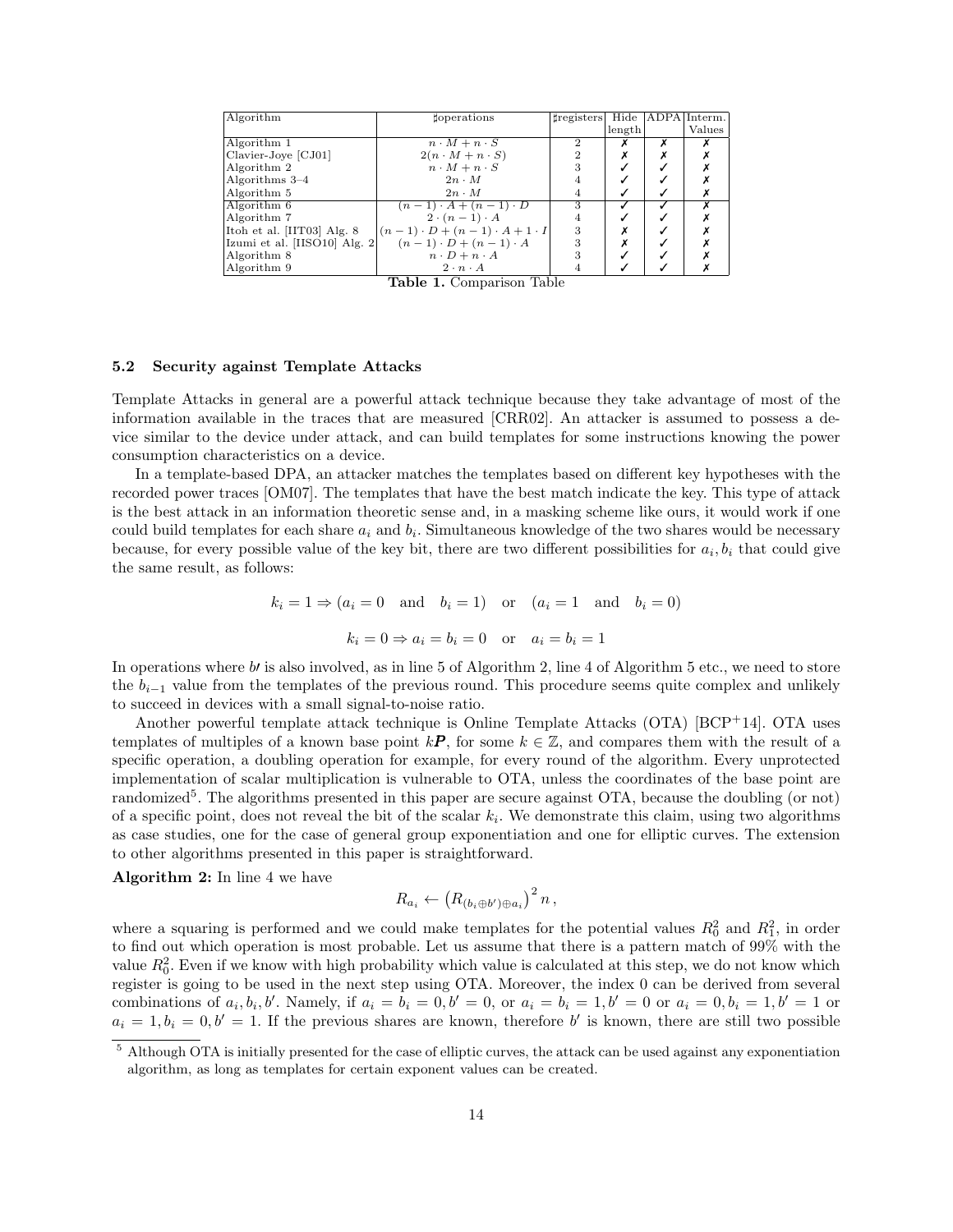| Algorithm                     | toperations                                 | tregisters Hide   ADPA   Interm. |        |   |        |
|-------------------------------|---------------------------------------------|----------------------------------|--------|---|--------|
|                               |                                             |                                  | length |   | Values |
| Algorithm 1                   | $n \cdot M + n \cdot S$                     | 2                                |        | x |        |
| Clavier-Joye [CJ01]           | $2(n \cdot M + n \cdot S)$                  |                                  |        |   |        |
| Algorithm 2                   | $n \cdot M + n \cdot S$                     |                                  |        |   |        |
| Algorithms $3-4$              | $2n \cdot M$                                |                                  |        |   |        |
| Algorithm 5                   | $2n \cdot M$                                |                                  |        |   |        |
| Algorithm 6                   | $(n-1) \cdot A + (n-1) \cdot D$             | 3                                |        |   |        |
| Algorithm 7                   | $2 \cdot (n-1) \cdot A$                     |                                  |        |   |        |
| Itoh et al. $[III03]$ Alg. 8  | $(n-1) \cdot D + (n-1) \cdot A + 1 \cdot I$ | 3                                |        |   |        |
| Izumi et al. [IISO10] Alg. 2] | $(n-1) \cdot D + (n-1) \cdot A$             |                                  |        |   |        |
| Algorithm 8                   | $n \cdot D + n \cdot A$                     |                                  |        |   |        |
| Algorithm 9                   | $2 \cdot n \cdot A$                         |                                  |        |   |        |
|                               | $\mathbf{m}$ ii $\alpha$ . $\mathbf{m}$ ii  |                                  |        |   |        |

Table 1. Comparison Table

### 5.2 Security against Template Attacks

Template Attacks in general are a powerful attack technique because they take advantage of most of the information available in the traces that are measured [CRR02]. An attacker is assumed to possess a device similar to the device under attack, and can build templates for some instructions knowing the power consumption characteristics on a device.

In a template-based DPA, an attacker matches the templates based on different key hypotheses with the recorded power traces [OM07]. The templates that have the best match indicate the key. This type of attack is the best attack in an information theoretic sense and, in a masking scheme like ours, it would work if one could build templates for each share  $a_i$  and  $b_i$ . Simultaneous knowledge of the two shares would be necessary because, for every possible value of the key bit, there are two different possibilities for  $a_i, b_i$  that could give the same result, as follows:

$$
k_i = 1 \Rightarrow (a_i = 0 \text{ and } b_i = 1) \text{ or } (a_i = 1 \text{ and } b_i = 0)
$$
  
 $k_i = 0 \Rightarrow a_i = b_i = 0 \text{ or } a_i = b_i = 1$ 

In operations where  $b\prime$  is also involved, as in line 5 of Algorithm 2, line 4 of Algorithm 5 etc., we need to store the  $b_{i-1}$  value from the templates of the previous round. This procedure seems quite complex and unlikely to succeed in devices with a small signal-to-noise ratio.

Another powerful template attack technique is Online Template Attacks (OTA) [BCP+14]. OTA uses templates of multiples of a known base point  $k\mathbf{P}$ , for some  $k \in \mathbb{Z}$ , and compares them with the result of a specific operation, a doubling operation for example, for every round of the algorithm. Every unprotected implementation of scalar multiplication is vulnerable to OTA, unless the coordinates of the base point are randomized<sup>5</sup>. The algorithms presented in this paper are secure against OTA, because the doubling (or not) of a specific point, does not reveal the bit of the scalar  $k_i$ . We demonstrate this claim, using two algorithms as case studies, one for the case of general group exponentiation and one for elliptic curves. The extension to other algorithms presented in this paper is straightforward.

Algorithm 2: In line 4 we have

$$
R_{a_i} \leftarrow \left(R_{(b_i \oplus b') \oplus a_i}\right)^2 n,
$$

where a squaring is performed and we could make templates for the potential values  $R_0^2$  and  $R_1^2$ , in order to find out which operation is most probable. Let us assume that there is a pattern match of 99% with the value  $R_0^2$ . Even if we know with high probability which value is calculated at this step, we do not know which register is going to be used in the next step using OTA. Moreover, the index 0 can be derived from several combinations of  $a_i, b_i, b'$ . Namely, if  $a_i = b_i = 0, b' = 0$ , or  $a_i = b_i = 1, b' = 0$  or  $a_i = 0, b_i = 1, b' = 1$  or  $a_i = 1, b_i = 0, b' = 1$ . If the previous shares are known, therefore b' is known, there are still two possible

<sup>&</sup>lt;sup>5</sup> Although OTA is initially presented for the case of elliptic curves, the attack can be used against any exponentiation algorithm, as long as templates for certain exponent values can be created.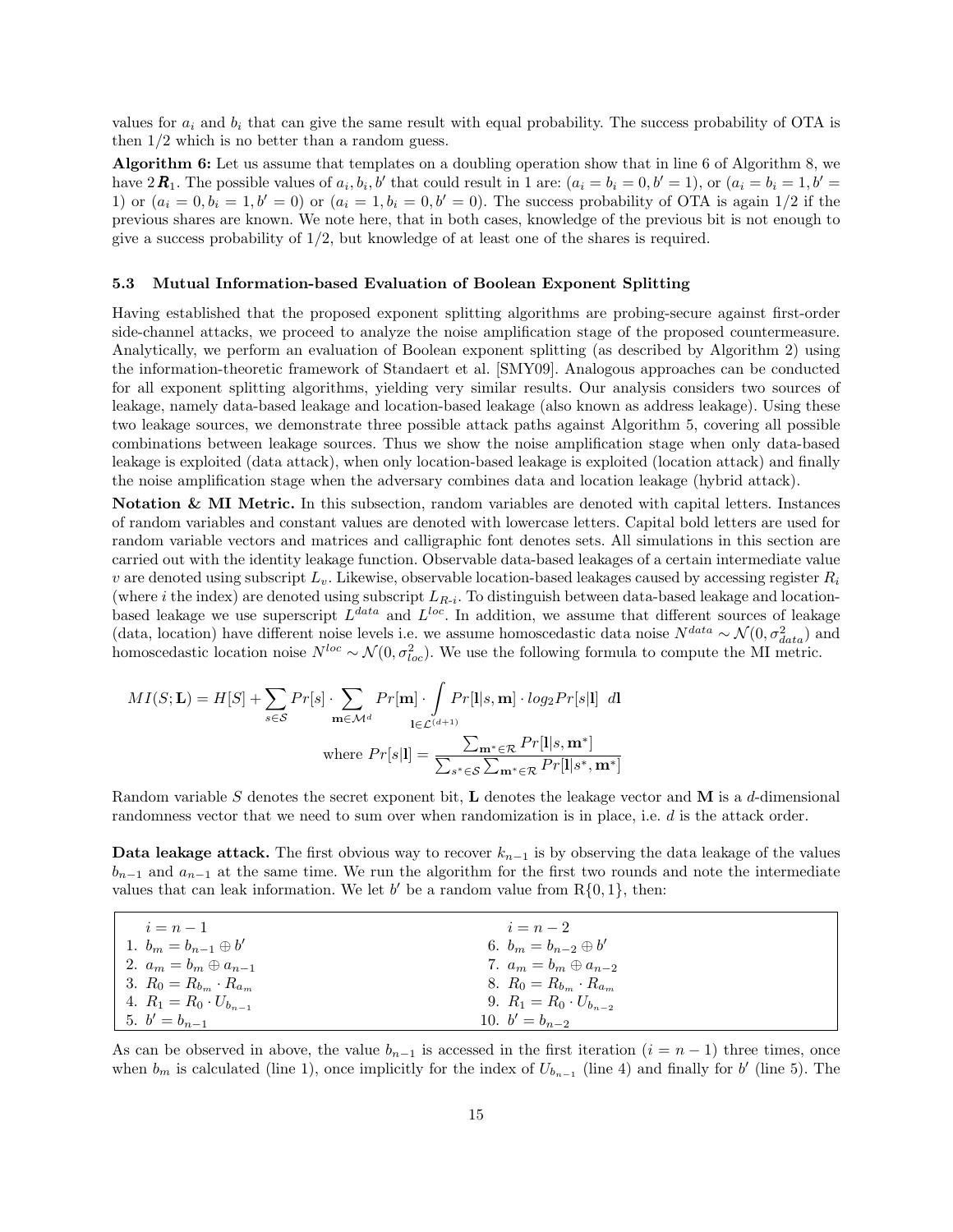values for  $a_i$  and  $b_i$ , that can give the same result with equal probability. The success probability of OTA is then 1/2 which is no better than a random guess.

Algorithm 6: Let us assume that templates on a doubling operation show that in line 6 of Algorithm 8, we have  $2\mathbf{R}_1$ . The possible values of  $a_i, b_i, b'$  that could result in 1 are:  $(a_i = b_i = 0, b' = 1)$ , or  $(a_i = b_i = 1, b' = 1)$ 1) or  $(a_i = 0, b_i = 1, b' = 0)$  or  $(a_i = 1, b_i = 0, b' = 0)$ . The success probability of OTA is again 1/2 if the previous shares are known. We note here, that in both cases, knowledge of the previous bit is not enough to give a success probability of 1/2, but knowledge of at least one of the shares is required.

#### 5.3 Mutual Information-based Evaluation of Boolean Exponent Splitting

Having established that the proposed exponent splitting algorithms are probing-secure against first-order side-channel attacks, we proceed to analyze the noise amplification stage of the proposed countermeasure. Analytically, we perform an evaluation of Boolean exponent splitting (as described by Algorithm 2) using the information-theoretic framework of Standaert et al. [SMY09]. Analogous approaches can be conducted for all exponent splitting algorithms, yielding very similar results. Our analysis considers two sources of leakage, namely data-based leakage and location-based leakage (also known as address leakage). Using these two leakage sources, we demonstrate three possible attack paths against Algorithm 5, covering all possible combinations between leakage sources. Thus we show the noise amplification stage when only data-based leakage is exploited (data attack), when only location-based leakage is exploited (location attack) and finally the noise amplification stage when the adversary combines data and location leakage (hybrid attack).

Notation & MI Metric. In this subsection, random variables are denoted with capital letters. Instances of random variables and constant values are denoted with lowercase letters. Capital bold letters are used for random variable vectors and matrices and calligraphic font denotes sets. All simulations in this section are carried out with the identity leakage function. Observable data-based leakages of a certain intermediate value v are denoted using subscript  $L_v$ . Likewise, observable location-based leakages caused by accessing register  $R_i$ (where i the index) are denoted using subscript  $L_{R-i}$ . To distinguish between data-based leakage and locationbased leakage we use superscript  $L^{data}$  and  $L^{loc}$ . In addition, we assume that different sources of leakage (data, location) have different noise levels i.e. we assume homoscedastic data noise  $N^{data} \sim \mathcal{N}(0, \sigma_{data}^2)$  and homoscedastic location noise  $N^{loc} \sim \mathcal{N}(0, \sigma_{loc}^2)$ . We use the following formula to compute the MI metric.

$$
MI(S; \mathbf{L}) = H[S] + \sum_{s \in \mathcal{S}} Pr[s] \cdot \sum_{\mathbf{m} \in \mathcal{M}^d} Pr[\mathbf{m}] \cdot \int_{\mathbf{l} \in \mathcal{L}^{(d+1)}} Pr[\mathbf{l}|s, \mathbf{m}] \cdot log_2 Pr[s|\mathbf{l}] \ d\mathbf{l}
$$
  
where  $Pr[s|\mathbf{l}] = \frac{\sum_{\mathbf{m}^* \in \mathcal{R}} Pr[\mathbf{l}|s, \mathbf{m}^*]}{\sum_{s^* \in \mathcal{S}} \sum_{\mathbf{m}^* \in \mathcal{R}} Pr[\mathbf{l}|s^*, \mathbf{m}^*]}$ 

Random variable S denotes the secret exponent bit, L denotes the leakage vector and M is a d-dimensional randomness vector that we need to sum over when randomization is in place, i.e. d is the attack order.

Data leakage attack. The first obvious way to recover  $k_{n-1}$  is by observing the data leakage of the values  $b_{n-1}$  and  $a_{n-1}$  at the same time. We run the algorithm for the first two rounds and note the intermediate values that can leak information. We let  $b'$  be a random value from  $R\{0, 1\}$ , then:

| $i = n - 1$                      | $i=n-2$                          |
|----------------------------------|----------------------------------|
| 1. $b_m = b_{n-1} \oplus b'$     | 6. $b_m = b_{n-2} \oplus b'$     |
| 2. $a_m = b_m \oplus a_{n-1}$    | 7. $a_m = b_m \oplus a_{n-2}$    |
| 3. $R_0 = R_{b_m} \cdot R_{a_m}$ | 8. $R_0 = R_{b_m} \cdot R_{a_m}$ |
| 4. $R_1 = R_0 \cdot U_{b_{n-1}}$ | 9. $R_1 = R_0 \cdot U_{b_{n-2}}$ |
| 5. $b' = b_{n-1}$                | 10. $b' = b_{n-2}$               |

As can be observed in above, the value  $b_{n-1}$  is accessed in the first iteration  $(i = n-1)$  three times, once when  $b_m$  is calculated (line 1), once implicitly for the index of  $U_{b_{n-1}}$  (line 4) and finally for b' (line 5). The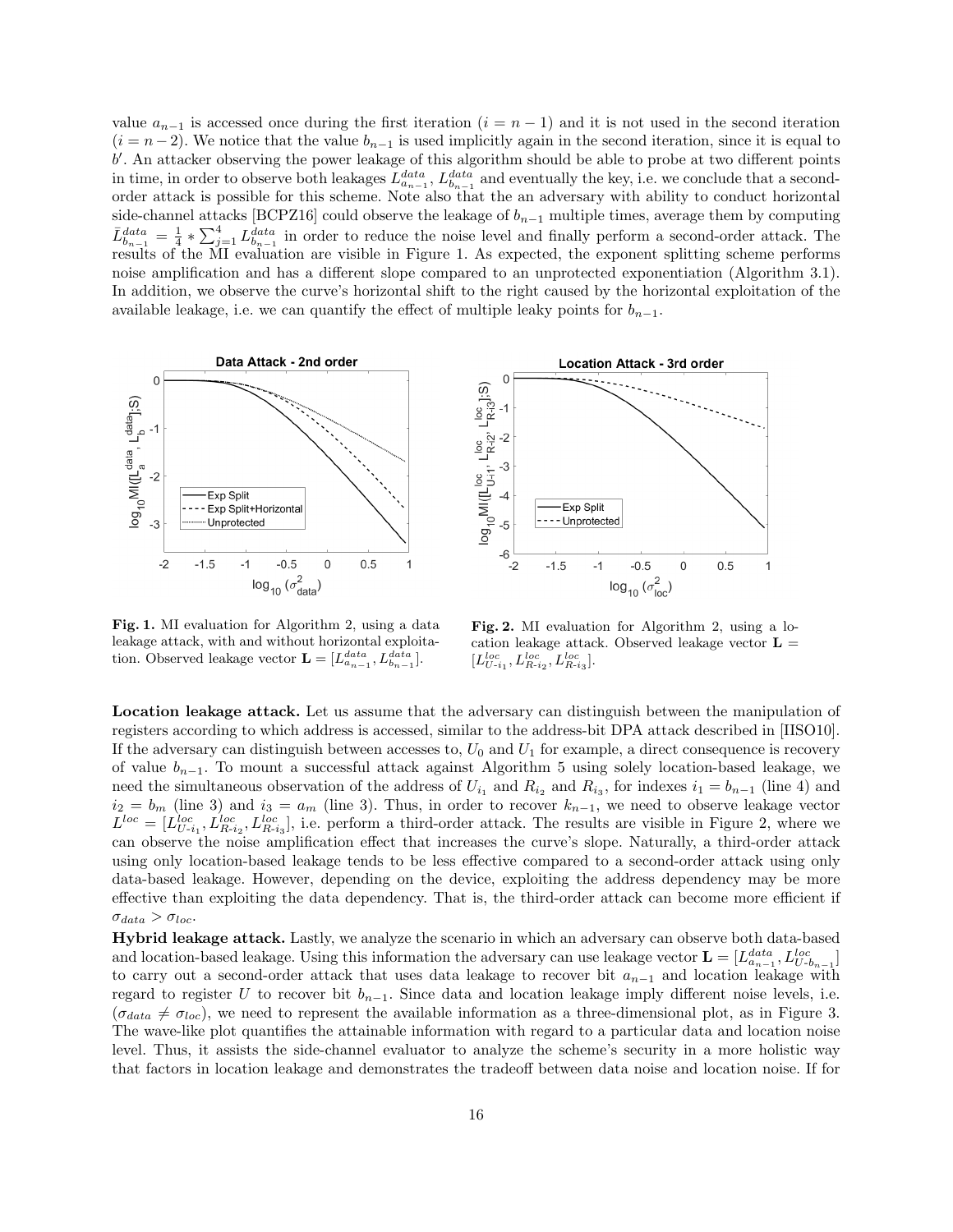value  $a_{n-1}$  is accessed once during the first iteration  $(i = n - 1)$  and it is not used in the second iteration  $(i = n - 2)$ . We notice that the value  $b_{n-1}$  is used implicitly again in the second iteration, since it is equal to b'. An attacker observing the power leakage of this algorithm should be able to probe at two different points in time, in order to observe both leakages  $L_{a_{n-1}}^{data}$ ,  $L_{b_{n-1}}^{data}$  and eventually the key, i.e. we conclude that a secondorder attack is possible for this scheme. Note also that the an adversary with ability to conduct horizontal side-channel attacks [BCPZ16] could observe the leakage of  $b_{n-1}$  multiple times, average them by computing  $\bar{L}_{b_{n-1}}^{data} = \frac{1}{4} * \sum_{j=1}^{4} L_{b_{n-1}}^{data}$  in order to reduce the noise level and finally perform a second-order attack. The results of the MI evaluation are visible in Figure 1. As expected, the exponent splitting scheme performs noise amplification and has a different slope compared to an unprotected exponentiation (Algorithm 3.1). In addition, we observe the curve's horizontal shift to the right caused by the horizontal exploitation of the available leakage, i.e. we can quantify the effect of multiple leaky points for  $b_{n-1}$ .





Fig. 1. MI evaluation for Algorithm 2, using a data leakage attack, with and without horizontal exploitation. Observed leakage vector  $\mathbf{L} = [L_{a_{n-1}}^{data}, L_{b_{n-1}}^{data}].$ 

Fig. 2. MI evaluation for Algorithm 2, using a location leakage attack. Observed leakage vector  $L =$  $[L_{U-i_1}^{loc}, L_{R-i_2}^{loc}, L_{R-i_3}^{loc}].$ 

Location leakage attack. Let us assume that the adversary can distinguish between the manipulation of registers according to which address is accessed, similar to the address-bit DPA attack described in [IISO10]. If the adversary can distinguish between accesses to,  $U_0$  and  $U_1$  for example, a direct consequence is recovery of value  $b_{n-1}$ . To mount a successful attack against Algorithm 5 using solely location-based leakage, we need the simultaneous observation of the address of  $U_{i_1}$  and  $R_{i_2}$  and  $R_{i_3}$ , for indexes  $i_1 = b_{n-1}$  (line 4) and  $i_2 = b_m$  (line 3) and  $i_3 = a_m$  (line 3). Thus, in order to recover  $k_{n-1}$ , we need to observe leakage vector  $L^{loc} = [L^{loc}_{U-i_1}, L^{loc}_{R-i_2}, L^{loc}_{R-i_3}]$ , i.e. perform a third-order attack. The results are visible in Figure 2, where we can observe the noise amplification effect that increases the curve's slope. Naturally, a third-order attack using only location-based leakage tends to be less effective compared to a second-order attack using only data-based leakage. However, depending on the device, exploiting the address dependency may be more effective than exploiting the data dependency. That is, the third-order attack can become more efficient if  $\sigma_{data} > \sigma_{loc}.$ 

Hybrid leakage attack. Lastly, we analyze the scenario in which an adversary can observe both data-based and location-based leakage. Using this information the adversary can use leakage vector  $\mathbf{L} = [L_{a_{n-1}}^{data}, L_{U-b_{n-1}}^{loc}]$ to carry out a second-order attack that uses data leakage to recover bit  $a_{n-1}$  and location leakage with regard to register U to recover bit  $b_{n-1}$ . Since data and location leakage imply different noise levels, i.e.  $(\sigma_{data} \neq \sigma_{loc})$ , we need to represent the available information as a three-dimensional plot, as in Figure 3. The wave-like plot quantifies the attainable information with regard to a particular data and location noise level. Thus, it assists the side-channel evaluator to analyze the scheme's security in a more holistic way that factors in location leakage and demonstrates the tradeoff between data noise and location noise. If for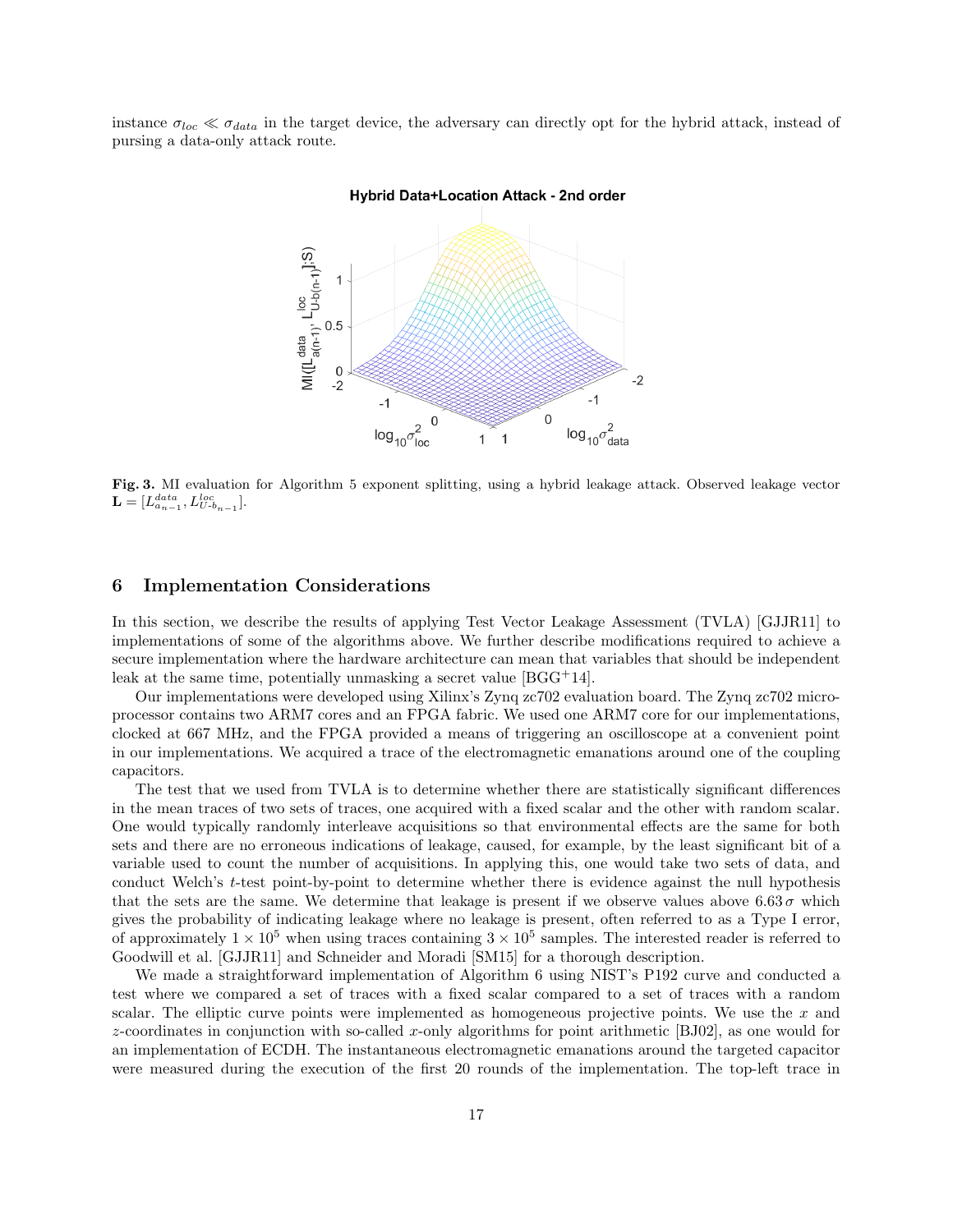instance  $\sigma_{loc} \ll \sigma_{data}$  in the target device, the adversary can directly opt for the hybrid attack, instead of pursing a data-only attack route.

#### Hybrid Data+Location Attack - 2nd order  $\mathsf{Ml}(\mathsf{L}^\mathsf{data}_{\mathsf{a}(n\text{-}1)}, \mathsf{L}^\mathsf{loc}_{\mathsf{U}\text{-}\mathsf{b}(n\text{-}1)}\mathsf{L}^\mathsf{S})$  $\mathbf{1}$  $0.5$ 0 .2  $-2$  $-1$  $-1$  $\boldsymbol{0}$  $\mathbf 0$  $\log_{10}\sigma_{\rm{dd}}^2$  $\overline{c}$  $log_{10}$ r<br>data 1 1 loc

Fig. 3. MI evaluation for Algorithm 5 exponent splitting, using a hybrid leakage attack. Observed leakage vector  $\mathbf{L} = [L_{a_{n-1}}^{data}, L_{U-b_{n-1}}^{loc}].$ 

## 6 Implementation Considerations

In this section, we describe the results of applying Test Vector Leakage Assessment (TVLA) [GJJR11] to implementations of some of the algorithms above. We further describe modifications required to achieve a secure implementation where the hardware architecture can mean that variables that should be independent leak at the same time, potentially unmasking a secret value  $[\text{BGG}^+14]$ .

Our implementations were developed using Xilinx's Zynq zc702 evaluation board. The Zynq zc702 microprocessor contains two ARM7 cores and an FPGA fabric. We used one ARM7 core for our implementations, clocked at 667 MHz, and the FPGA provided a means of triggering an oscilloscope at a convenient point in our implementations. We acquired a trace of the electromagnetic emanations around one of the coupling capacitors.

The test that we used from TVLA is to determine whether there are statistically significant differences in the mean traces of two sets of traces, one acquired with a fixed scalar and the other with random scalar. One would typically randomly interleave acquisitions so that environmental effects are the same for both sets and there are no erroneous indications of leakage, caused, for example, by the least significant bit of a variable used to count the number of acquisitions. In applying this, one would take two sets of data, and conduct Welch's t-test point-by-point to determine whether there is evidence against the null hypothesis that the sets are the same. We determine that leakage is present if we observe values above  $6.63\sigma$  which gives the probability of indicating leakage where no leakage is present, often referred to as a Type I error, of approximately  $1 \times 10^5$  when using traces containing  $3 \times 10^5$  samples. The interested reader is referred to Goodwill et al. [GJJR11] and Schneider and Moradi [SM15] for a thorough description.

We made a straightforward implementation of Algorithm 6 using NIST's P192 curve and conducted a test where we compared a set of traces with a fixed scalar compared to a set of traces with a random scalar. The elliptic curve points were implemented as homogeneous projective points. We use the  $x$  and z-coordinates in conjunction with so-called x-only algorithms for point arithmetic [BJ02], as one would for an implementation of ECDH. The instantaneous electromagnetic emanations around the targeted capacitor were measured during the execution of the first 20 rounds of the implementation. The top-left trace in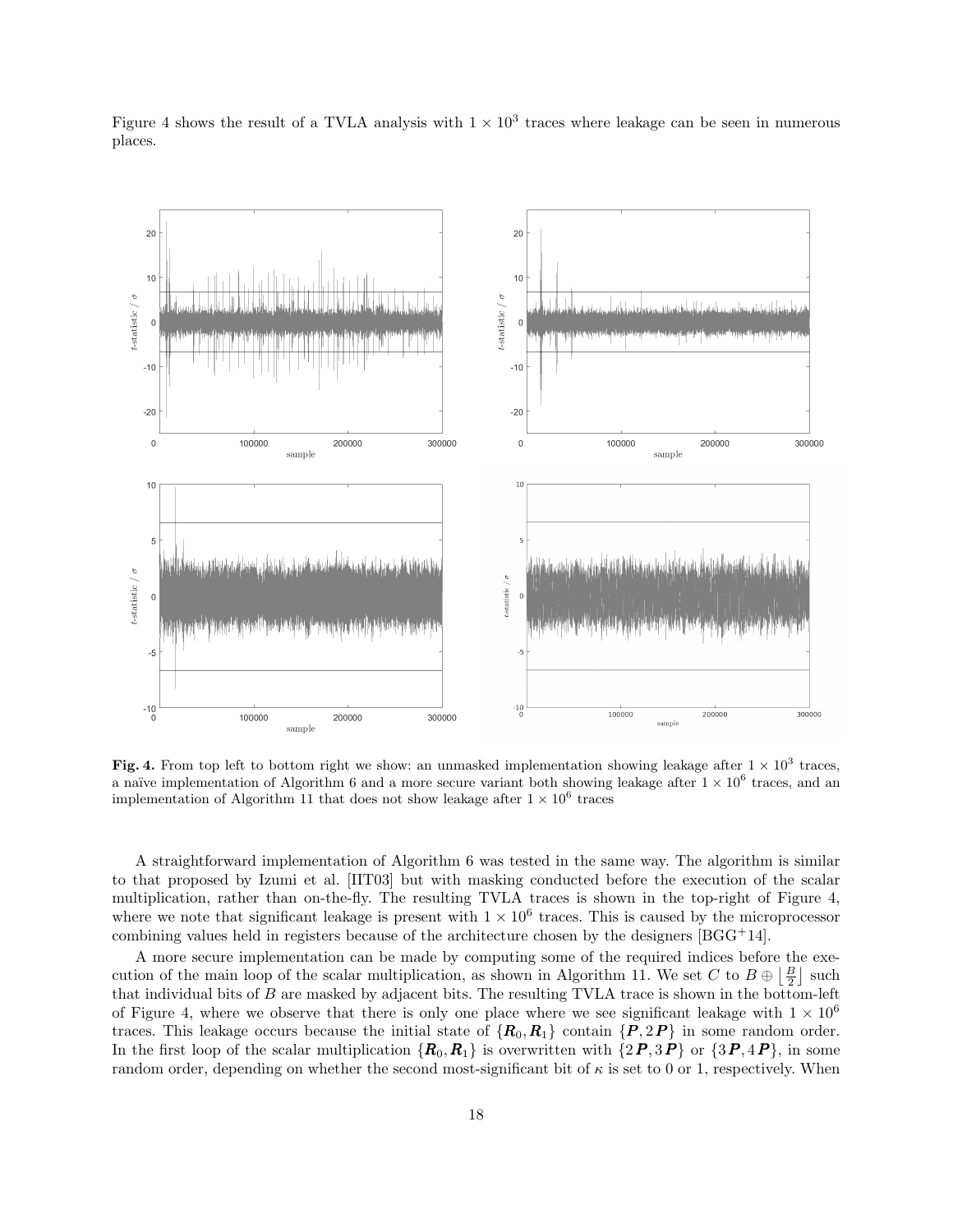

Figure 4 shows the result of a TVLA analysis with  $1 \times 10^3$  traces where leakage can be seen in numerous places.

Fig. 4. From top left to bottom right we show: an unmasked implementation showing leakage after  $1 \times 10^3$  traces, a naïve implementation of Algorithm 6 and a more secure variant both showing leakage after  $1 \times 10^6$  traces, and an implementation of Algorithm 11 that does not show leakage after  $1 \times 10^6$  traces

A straightforward implementation of Algorithm 6 was tested in the same way. The algorithm is similar to that proposed by Izumi et al. [IIT03] but with masking conducted before the execution of the scalar multiplication, rather than on-the-fly. The resulting TVLA traces is shown in the top-right of Figure 4, where we note that significant leakage is present with  $1 \times 10^6$  traces. This is caused by the microprocessor combining values held in registers because of the architecture chosen by the designers [BGG<sup>+</sup>14].

A more secure implementation can be made by computing some of the required indices before the execution of the main loop of the scalar multiplication, as shown in Algorithm 11. We set C to  $B \oplus \left\lfloor \frac{B}{2} \right\rfloor$  such that individual bits of B are masked by adjacent bits. The resulting TVLA trace is shown in the bottom-left of Figure 4, where we observe that there is only one place where we see significant leakage with  $1 \times 10^6$ traces. This leakage occurs because the initial state of  ${R_0, R_1}$  contain  ${P, 2P}$  in some random order. In the first loop of the scalar multiplication  ${R_0, R_1}$  is overwritten with  ${2P, 3P}$  or  ${3P, 4P}$ , in some random order, depending on whether the second most-significant bit of  $\kappa$  is set to 0 or 1, respectively. When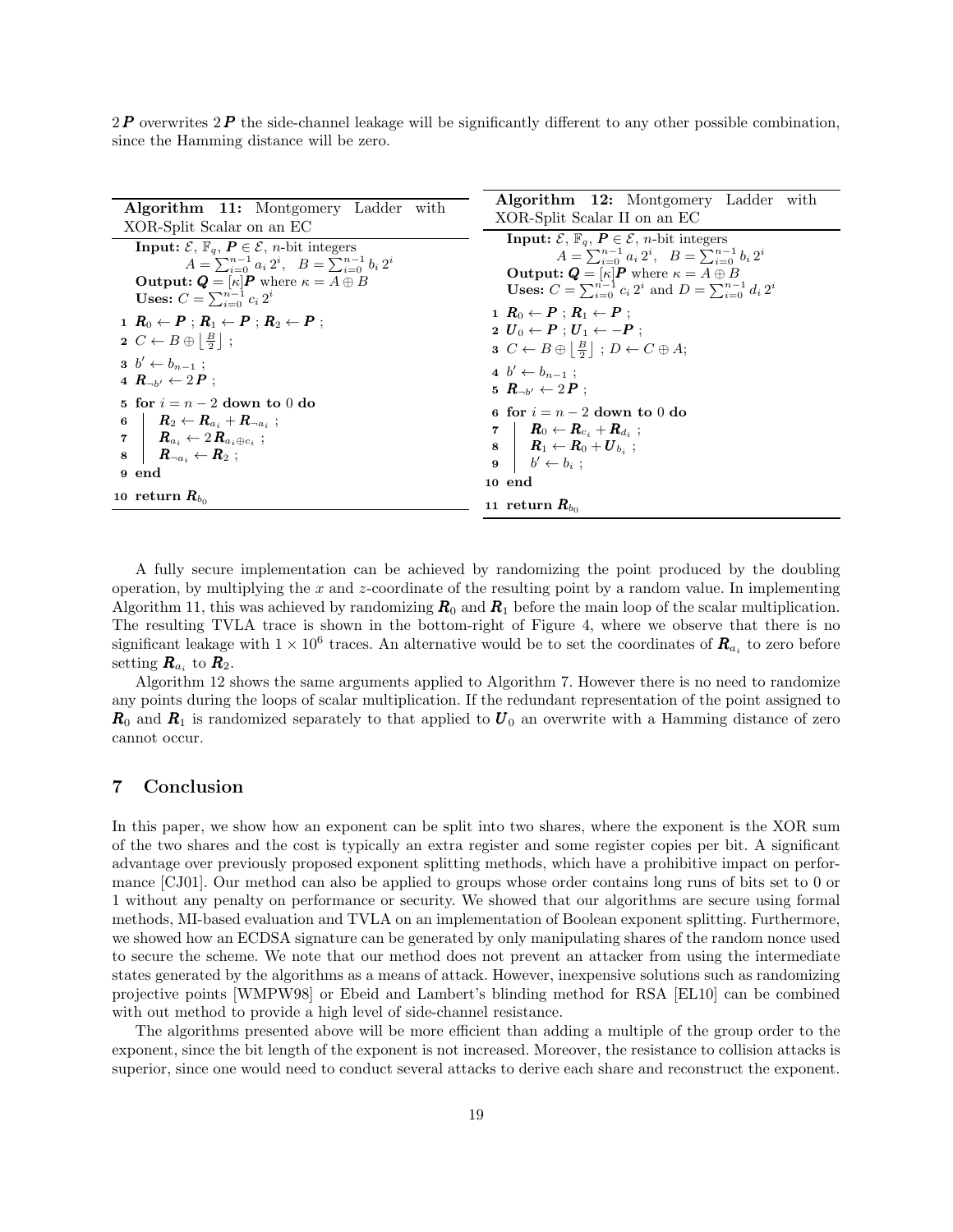$2P$  overwrites  $2P$  the side-channel leakage will be significantly different to any other possible combination. since the Hamming distance will be zero.

| <b>Algorithm 11:</b> Montgomery Ladder with<br>XOR-Split Scalar on an EC                                                                                                                                                                                                                                                                                                                                                                                                                                                                                                                                                                                                                                                   | <b>Algorithm 12:</b> Montgomery Ladder with<br>XOR-Split Scalar II on an EC                                                                                                                                                                                                                                                                                                                                                                                                                                                                                                                                                                                                                                                                                                                                                                                                                                                        |
|----------------------------------------------------------------------------------------------------------------------------------------------------------------------------------------------------------------------------------------------------------------------------------------------------------------------------------------------------------------------------------------------------------------------------------------------------------------------------------------------------------------------------------------------------------------------------------------------------------------------------------------------------------------------------------------------------------------------------|------------------------------------------------------------------------------------------------------------------------------------------------------------------------------------------------------------------------------------------------------------------------------------------------------------------------------------------------------------------------------------------------------------------------------------------------------------------------------------------------------------------------------------------------------------------------------------------------------------------------------------------------------------------------------------------------------------------------------------------------------------------------------------------------------------------------------------------------------------------------------------------------------------------------------------|
| <b>Input:</b> $\mathcal{E}, \mathbb{F}_q, \mathbf{P} \in \mathcal{E}, n$ -bit integers<br>$A = \sum_{i=0}^{n-1} a_i 2^i$ , $B = \sum_{i=0}^{n-1} b_i 2^i$<br><b>Output:</b> $Q = [\kappa]P$ where $\kappa = A \oplus B$<br><b>Uses:</b> $C = \sum_{i=0}^{n-1} c_i 2^i$<br>$1 R_0 \leftarrow P : R_1 \leftarrow P : R_2 \leftarrow P$<br>$2 C \leftarrow B \oplus \left  \frac{B}{2} \right $ ;<br>$3\;\;b'\leftarrow b_{n-1}$ :<br>4 $R_{-\nu} \leftarrow 2P$ :<br>5 for $i = n - 2$ down to 0 do<br>$6 \quad   \quad R_2 \leftarrow R_{a_i} + R_{\neg a_i} \; ;$<br>$\mathbf{z} \mid \mathbf{R}_{a_i} \leftarrow 2 \mathbf{R}_{a_i \oplus c_i}$ ;<br>$8 \mid R_{\neg a_i} \leftarrow R_2;$<br>9 end<br>10 return $R_{bo}$ | <b>Input:</b> $\mathcal{E}, \mathbb{F}_q, P \in \mathcal{E}, n$ -bit integers<br>$A = \sum_{i=0}^{n-1} a_i 2^i$ , $B = \sum_{i=0}^{n-1} b_i 2^i$<br><b>Output:</b> $Q = \kappa  P $ where $\kappa = A \oplus B$<br><b>Uses:</b> $C = \sum_{i=0}^{n-1} c_i 2^i$ and $D = \sum_{i=0}^{n-1} d_i 2^i$<br>$\mathbf{1} \ \ R_0 \leftarrow \boldsymbol{P} : \boldsymbol{R}_1 \leftarrow \boldsymbol{P} :$<br>$2\;\, \pmb{U}_0 \leftarrow \pmb{P}: \pmb{U}_1 \leftarrow -\pmb{P}:$<br>$3\ C \leftarrow B \oplus \left  \frac{B}{2} \right $ ; $D \leftarrow C \oplus A$ ;<br>$4\;\,b'\leftarrow b_{n-1}$ :<br>5 $R_{\rightarrow b'} \leftarrow 2P$ :<br>6 for $i = n - 2$ down to 0 do<br>$\begin{array}{ccc} \mathbf{7} &   & \bm{R}_0 \leftarrow \bm{R}_{c_i} + \bm{R}_{d_i} \end{array} ;$<br>$\mathbf{8}$   $\mathbf{R}_1 \leftarrow \mathbf{R}_0 + \mathbf{U}_{bi}$ ;<br>$9 \mid b' \leftarrow b_i ;$<br>10 end<br>11 return $R_{bo}$ |

A fully secure implementation can be achieved by randomizing the point produced by the doubling operation, by multiplying the  $x$  and  $z$ -coordinate of the resulting point by a random value. In implementing Algorithm 11, this was achieved by randomizing  $R_0$  and  $R_1$  before the main loop of the scalar multiplication. The resulting TVLA trace is shown in the bottom-right of Figure 4, where we observe that there is no significant leakage with  $1 \times 10^6$  traces. An alternative would be to set the coordinates of  $\mathbf{R}_{a_i}$  to zero before setting  $\boldsymbol{R}_{a_i}$  to  $\boldsymbol{R}_2$ .

Algorithm 12 shows the same arguments applied to Algorithm 7. However there is no need to randomize any points during the loops of scalar multiplication. If the redundant representation of the point assigned to  $R_0$  and  $R_1$  is randomized separately to that applied to  $U_0$  an overwrite with a Hamming distance of zero cannot occur.

# 7 Conclusion

In this paper, we show how an exponent can be split into two shares, where the exponent is the XOR sum of the two shares and the cost is typically an extra register and some register copies per bit. A significant advantage over previously proposed exponent splitting methods, which have a prohibitive impact on performance [CJ01]. Our method can also be applied to groups whose order contains long runs of bits set to 0 or 1 without any penalty on performance or security. We showed that our algorithms are secure using formal methods, MI-based evaluation and TVLA on an implementation of Boolean exponent splitting. Furthermore, we showed how an ECDSA signature can be generated by only manipulating shares of the random nonce used to secure the scheme. We note that our method does not prevent an attacker from using the intermediate states generated by the algorithms as a means of attack. However, inexpensive solutions such as randomizing projective points [WMPW98] or Ebeid and Lambert's blinding method for RSA [EL10] can be combined with out method to provide a high level of side-channel resistance.

The algorithms presented above will be more efficient than adding a multiple of the group order to the exponent, since the bit length of the exponent is not increased. Moreover, the resistance to collision attacks is superior, since one would need to conduct several attacks to derive each share and reconstruct the exponent.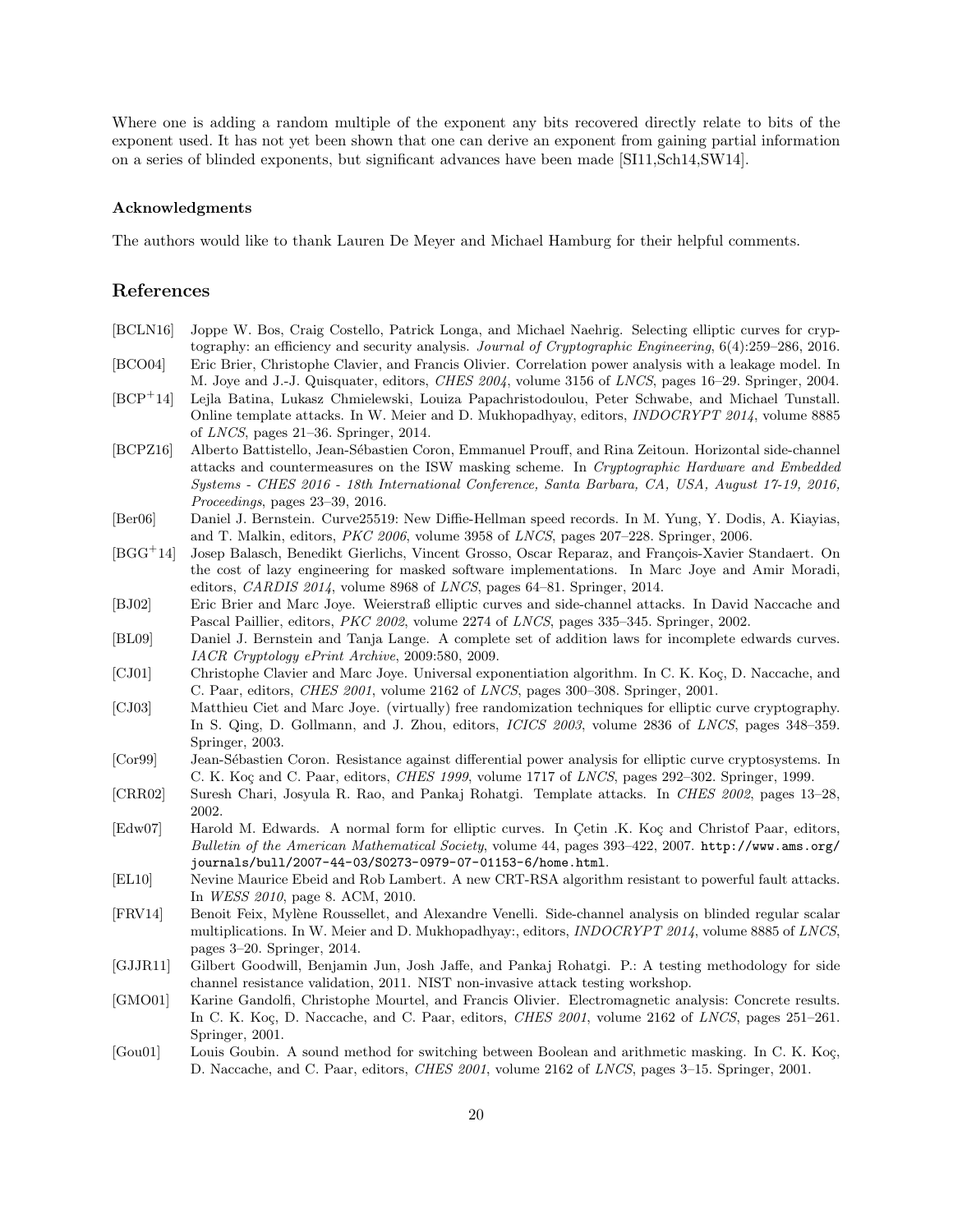Where one is adding a random multiple of the exponent any bits recovered directly relate to bits of the exponent used. It has not yet been shown that one can derive an exponent from gaining partial information on a series of blinded exponents, but significant advances have been made [SI11,Sch14,SW14].

### Acknowledgments

The authors would like to thank Lauren De Meyer and Michael Hamburg for their helpful comments.

# References

| [BCLN16]                    | Joppe W. Bos, Craig Costello, Patrick Longa, and Michael Naehrig. Selecting elliptic curves for cryp-           |
|-----------------------------|-----------------------------------------------------------------------------------------------------------------|
|                             | tography: an efficiency and security analysis. Journal of Cryptographic Engineering, $6(4):259-286$ , $2016$ .  |
| [BCO04]                     | Eric Brier, Christophe Clavier, and Francis Olivier. Correlation power analysis with a leakage model. In        |
|                             | M. Joye and J.-J. Quisquater, editors, CHES 2004, volume 3156 of LNCS, pages 16–29. Springer, 2004.             |
| $[BCP^+14]$                 | Lejla Batina, Lukasz Chmielewski, Louiza Papachristodoulou, Peter Schwabe, and Michael Tunstall.                |
|                             | Online template attacks. In W. Meier and D. Mukhopadhyay, editors, <i>INDOCRYPT 2014</i> , volume 8885          |
|                             | of LNCS, pages $21-36$ . Springer, 2014.                                                                        |
| [BCPZ16]                    | Alberto Battistello, Jean-Sébastien Coron, Emmanuel Prouff, and Rina Zeitoun. Horizontal side-channel           |
|                             | attacks and countermeasures on the ISW masking scheme. In Cryptographic Hardware and Embedded                   |
|                             | Systems - CHES 2016 - 18th International Conference, Santa Barbara, CA, USA, August 17-19, 2016,                |
|                             | Proceedings, pages 23-39, 2016.                                                                                 |
| [Ber06]                     | Daniel J. Bernstein. Curve25519: New Diffie-Hellman speed records. In M. Yung, Y. Dodis, A. Kiayias,            |
|                             | and T. Malkin, editors, PKC 2006, volume 3958 of LNCS, pages 207-228. Springer, 2006.                           |
| $[BGG^+14]$                 | Josep Balasch, Benedikt Gierlichs, Vincent Grosso, Oscar Reparaz, and François-Xavier Standaert. On             |
|                             | the cost of lazy engineering for masked software implementations. In Marc Joye and Amir Moradi,                 |
|                             | editors, CARDIS 2014, volume 8968 of LNCS, pages 64-81. Springer, 2014.                                         |
| [BJ02]                      | Eric Brier and Marc Joye. Weierstraß elliptic curves and side-channel attacks. In David Naccache and            |
|                             | Pascal Paillier, editors, PKC 2002, volume 2274 of LNCS, pages 335-345. Springer, 2002.                         |
| [BL09]                      | Daniel J. Bernstein and Tanja Lange. A complete set of addition laws for incomplete edwards curves.             |
|                             | IACR Cryptology ePrint Archive, 2009:580, 2009.                                                                 |
| [CJ01]                      | Christophe Clavier and Marc Joye. Universal exponentiation algorithm. In C. K. Koç, D. Naccache, and            |
|                             | C. Paar, editors, <i>CHES 2001</i> , volume 2162 of <i>LNCS</i> , pages 300–308. Springer, 2001.                |
| [CJ03]                      | Matthieu Ciet and Marc Joye. (virtually) free randomization techniques for elliptic curve cryptography.         |
|                             | In S. Qing, D. Gollmann, and J. Zhou, editors, ICICS 2003, volume 2836 of LNCS, pages 348-359.                  |
|                             | Springer, 2003.                                                                                                 |
| [Cor99]                     | Jean-Sébastien Coron. Resistance against differential power analysis for elliptic curve cryptosystems. In       |
|                             | C. K. Koç and C. Paar, editors, CHES 1999, volume 1717 of LNCS, pages 292-302. Springer, 1999.                  |
| [CRR02]                     | Suresh Chari, Josyula R. Rao, and Pankaj Rohatgi. Template attacks. In CHES 2002, pages 13–28,                  |
|                             | 2002.                                                                                                           |
| $\left[\text{Edw07}\right]$ | Harold M. Edwards. A normal form for elliptic curves. In Cetin .K. Koç and Christof Paar, editors,              |
|                             | Bulletin of the American Mathematical Society, volume 44, pages 393-422, 2007. http://www.ams.org/              |
|                             | journals/bull/2007-44-03/S0273-0979-07-01153-6/home.html.                                                       |
| [EL10]                      | Nevine Maurice Ebeid and Rob Lambert. A new CRT-RSA algorithm resistant to powerful fault attacks.              |
|                             | In WESS 2010, page 8. ACM, 2010.                                                                                |
| [FRV14]                     | Benoit Feix, Mylène Roussellet, and Alexandre Venelli. Side-channel analysis on blinded regular scalar          |
|                             | multiplications. In W. Meier and D. Mukhopadhyay:, editors, <i>INDOCRYPT</i> 2014, volume 8885 of <i>LNCS</i> , |
|                             | pages $3-20$ . Springer, 2014.                                                                                  |
| [GJJR11]                    | Gilbert Goodwill, Benjamin Jun, Josh Jaffe, and Pankaj Rohatgi. P.: A testing methodology for side              |
|                             | channel resistance validation, 2011. NIST non-invasive attack testing workshop.                                 |
| [GMO01]                     | Karine Gandolfi, Christophe Mourtel, and Francis Olivier. Electromagnetic analysis: Concrete results.           |
|                             | In C. K. Koç, D. Naccache, and C. Paar, editors, CHES 2001, volume 2162 of LNCS, pages 251-261.                 |
|                             | Springer, 2001.                                                                                                 |
| [Gou01]                     | Louis Goubin. A sound method for switching between Boolean and arithmetic masking. In C. K. Koç,                |
|                             | D. Naccache, and C. Paar, editors, <i>CHES 2001</i> , volume 2162 of <i>LNCS</i> , pages 3-15. Springer, 2001.  |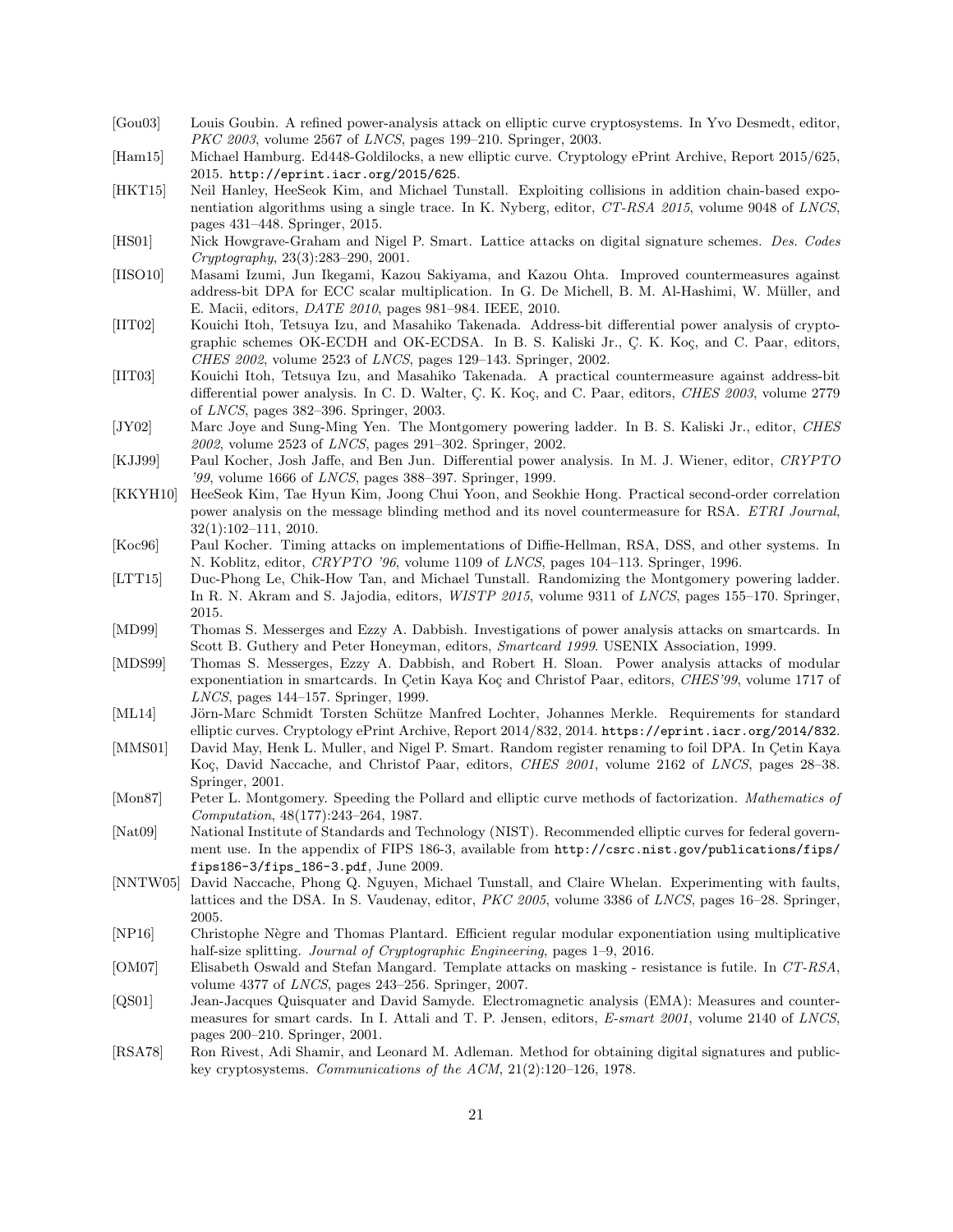- [Gou03] Louis Goubin. A refined power-analysis attack on elliptic curve cryptosystems. In Yvo Desmedt, editor, PKC 2003, volume 2567 of LNCS, pages 199–210. Springer, 2003.
- [Ham15] Michael Hamburg. Ed448-Goldilocks, a new elliptic curve. Cryptology ePrint Archive, Report 2015/625, 2015. http://eprint.iacr.org/2015/625.
- [HKT15] Neil Hanley, HeeSeok Kim, and Michael Tunstall. Exploiting collisions in addition chain-based exponentiation algorithms using a single trace. In K. Nyberg, editor, CT-RSA 2015, volume 9048 of LNCS, pages 431–448. Springer, 2015.
- [HS01] Nick Howgrave-Graham and Nigel P. Smart. Lattice attacks on digital signature schemes. Des. Codes Cryptography, 23(3):283–290, 2001.
- [IISO10] Masami Izumi, Jun Ikegami, Kazou Sakiyama, and Kazou Ohta. Improved countermeasures against address-bit DPA for ECC scalar multiplication. In G. De Michell, B. M. Al-Hashimi, W. Müller, and E. Macii, editors, DATE 2010, pages 981–984. IEEE, 2010.
- [IIT02] Kouichi Itoh, Tetsuya Izu, and Masahiko Takenada. Address-bit differential power analysis of cryptographic schemes OK-ECDH and OK-ECDSA. In B. S. Kaliski Jr., Ç. K. Koç, and C. Paar, editors, CHES 2002, volume 2523 of LNCS, pages 129–143. Springer, 2002.
- [IIT03] Kouichi Itoh, Tetsuya Izu, and Masahiko Takenada. A practical countermeasure against address-bit differential power analysis. In C. D. Walter, C. K. Koç, and C. Paar, editors, CHES 2003, volume 2779 of LNCS, pages 382–396. Springer, 2003.
- [JY02] Marc Joye and Sung-Ming Yen. The Montgomery powering ladder. In B. S. Kaliski Jr., editor, CHES 2002, volume 2523 of LNCS, pages 291–302. Springer, 2002.
- [KJJ99] Paul Kocher, Josh Jaffe, and Ben Jun. Differential power analysis. In M. J. Wiener, editor, CRYPTO '99, volume 1666 of LNCS, pages 388–397. Springer, 1999.
- [KKYH10] HeeSeok Kim, Tae Hyun Kim, Joong Chui Yoon, and Seokhie Hong. Practical second-order correlation power analysis on the message blinding method and its novel countermeasure for RSA. ETRI Journal, 32(1):102–111, 2010.
- [Koc96] Paul Kocher. Timing attacks on implementations of Diffie-Hellman, RSA, DSS, and other systems. In N. Koblitz, editor, CRYPTO '96, volume 1109 of LNCS, pages 104–113. Springer, 1996.
- [LTT15] Duc-Phong Le, Chik-How Tan, and Michael Tunstall. Randomizing the Montgomery powering ladder. In R. N. Akram and S. Jajodia, editors, WISTP 2015, volume 9311 of LNCS, pages 155–170. Springer, 2015.
- [MD99] Thomas S. Messerges and Ezzy A. Dabbish. Investigations of power analysis attacks on smartcards. In Scott B. Guthery and Peter Honeyman, editors, *Smartcard 1999*. USENIX Association, 1999.
- [MDS99] Thomas S. Messerges, Ezzy A. Dabbish, and Robert H. Sloan. Power analysis attacks of modular exponentiation in smartcards. In Çetin Kaya Koç and Christof Paar, editors, CHES'99, volume 1717 of LNCS, pages 144–157. Springer, 1999.
- [ML14] Jörn-Marc Schmidt Torsten Schütze Manfred Lochter, Johannes Merkle. Requirements for standard elliptic curves. Cryptology ePrint Archive, Report 2014/832, 2014. https://eprint.iacr.org/2014/832.
- [MMS01] David May, Henk L. Muller, and Nigel P. Smart. Random register renaming to foil DPA. In Cetin Kaya Koc, David Naccache, and Christof Paar, editors, *CHES 2001*, volume 2162 of *LNCS*, pages 28–38. Springer, 2001.
- [Mon87] Peter L. Montgomery. Speeding the Pollard and elliptic curve methods of factorization. Mathematics of Computation, 48(177):243–264, 1987.
- [Nat09] National Institute of Standards and Technology (NIST). Recommended elliptic curves for federal government use. In the appendix of FIPS 186-3, available from http://csrc.nist.gov/publications/fips/ fips186-3/fips\_186-3.pdf, June 2009.
- [NNTW05] David Naccache, Phong Q. Nguyen, Michael Tunstall, and Claire Whelan. Experimenting with faults, lattices and the DSA. In S. Vaudenay, editor, PKC 2005, volume 3386 of LNCS, pages 16–28. Springer, 2005.
- [NP16] Christophe N`egre and Thomas Plantard. Efficient regular modular exponentiation using multiplicative half-size splitting. Journal of Cryptographic Engineering, pages 1–9, 2016.
- [OM07] Elisabeth Oswald and Stefan Mangard. Template attacks on masking resistance is futile. In CT-RSA, volume 4377 of LNCS, pages 243–256. Springer, 2007.
- [QS01] Jean-Jacques Quisquater and David Samyde. Electromagnetic analysis (EMA): Measures and countermeasures for smart cards. In I. Attali and T. P. Jensen, editors, E-smart 2001, volume 2140 of LNCS, pages 200–210. Springer, 2001.
- [RSA78] Ron Rivest, Adi Shamir, and Leonard M. Adleman. Method for obtaining digital signatures and publickey cryptosystems. Communications of the ACM, 21(2):120–126, 1978.